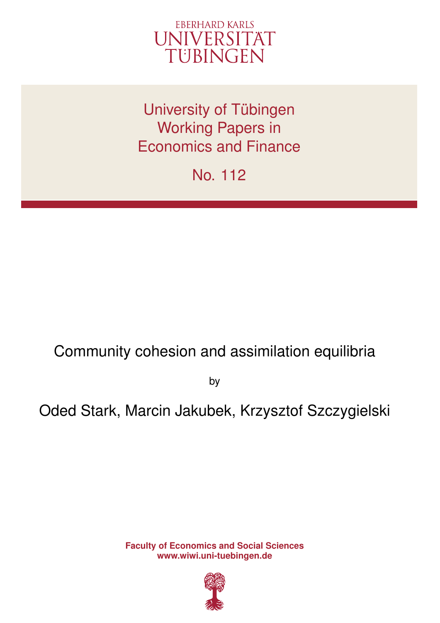

University of Tübingen Working Papers in Economics and Finance

No. 112

# Community cohesion and assimilation equilibria

by

Oded Stark, Marcin Jakubek, Krzysztof Szczygielski

**Faculty of Economics and Social Sciences www.wiwi.uni-tuebingen.de**

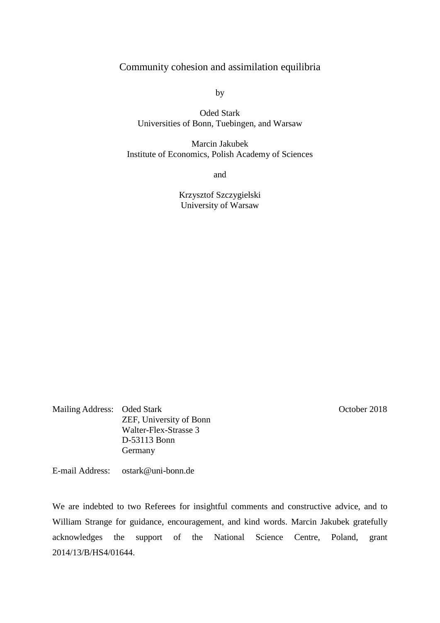# Community cohesion and assimilation equilibria

by

Oded Stark Universities of Bonn, Tuebingen, and Warsaw

Marcin Jakubek Institute of Economics, Polish Academy of Sciences

and

Krzysztof Szczygielski University of Warsaw

Mailing Address: Oded Stark Correction Correction Correction Correction October 2018 ZEF, University of Bonn Walter-Flex-Strasse 3 D-53113 Bonn Germany

E-mail Address: ostark@uni-bonn.de

We are indebted to two Referees for insightful comments and constructive advice, and to William Strange for guidance, encouragement, and kind words. Marcin Jakubek gratefully acknowledges the support of the National Science Centre, Poland, grant 2014/13/B/HS4/01644.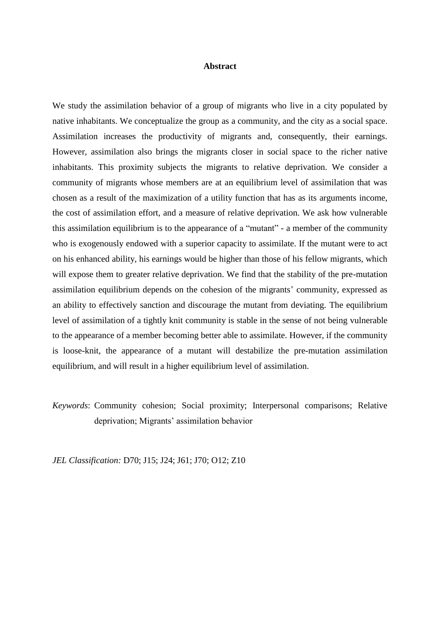#### **Abstract**

We study the assimilation behavior of a group of migrants who live in a city populated by native inhabitants. We conceptualize the group as a community, and the city as a social space. Assimilation increases the productivity of migrants and, consequently, their earnings. However, assimilation also brings the migrants closer in social space to the richer native inhabitants. This proximity subjects the migrants to relative deprivation. We consider a community of migrants whose members are at an equilibrium level of assimilation that was chosen as a result of the maximization of a utility function that has as its arguments income, the cost of assimilation effort, and a measure of relative deprivation. We ask how vulnerable this assimilation equilibrium is to the appearance of a "mutant" - a member of the community who is exogenously endowed with a superior capacity to assimilate. If the mutant were to act on his enhanced ability, his earnings would be higher than those of his fellow migrants, which will expose them to greater relative deprivation. We find that the stability of the pre-mutation assimilation equilibrium depends on the cohesion of the migrants' community, expressed as an ability to effectively sanction and discourage the mutant from deviating. The equilibrium level of assimilation of a tightly knit community is stable in the sense of not being vulnerable to the appearance of a member becoming better able to assimilate. However, if the community is loose-knit, the appearance of a mutant will destabilize the pre-mutation assimilation equilibrium, and will result in a higher equilibrium level of assimilation.

*Keywords*: Community cohesion; Social proximity; Interpersonal comparisons; Relative deprivation; Migrants' assimilation behavior

*JEL Classification:* D70; J15; J24; J61; J70; O12; Z10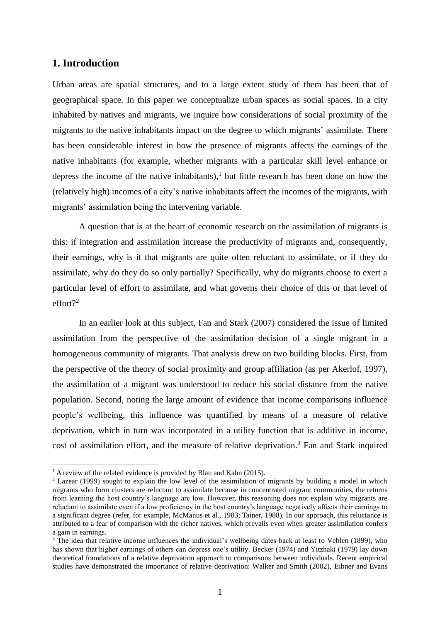## **1. Introduction**

Urban areas are spatial structures, and to a large extent study of them has been that of geographical space. In this paper we conceptualize urban spaces as social spaces. In a city inhabited by natives and migrants, we inquire how considerations of social proximity of the migrants to the native inhabitants impact on the degree to which migrants' assimilate. There has been considerable interest in how the presence of migrants affects the earnings of the native inhabitants (for example, whether migrants with a particular skill level enhance or depress the income of the native inhabitants), $<sup>1</sup>$  but little research has been done on how the</sup> (relatively high) incomes of a city's native inhabitants affect the incomes of the migrants, with migrants' assimilation being the intervening variable.

A question that is at the heart of economic research on the assimilation of migrants is this: if integration and assimilation increase the productivity of migrants and, consequently, their earnings, why is it that migrants are quite often reluctant to assimilate, or if they do assimilate, why do they do so only partially? Specifically, why do migrants choose to exert a particular level of effort to assimilate, and what governs their choice of this or that level of effort?<sup>2</sup>

In an earlier look at this subject, Fan and Stark (2007) considered the issue of limited assimilation from the perspective of the assimilation decision of a single migrant in a homogeneous community of migrants. That analysis drew on two building blocks. First, from the perspective of the theory of social proximity and group affiliation (as per Akerlof, 1997), the assimilation of a migrant was understood to reduce his social distance from the native population. Second, noting the large amount of evidence that income comparisons influence people's wellbeing, this influence was quantified by means of a measure of relative deprivation, which in turn was incorporated in a utility function that is additive in income, cost of assimilation effort, and the measure of relative deprivation. <sup>3</sup> Fan and Stark inquired

 $\overline{a}$ 

<sup>&</sup>lt;sup>1</sup> A review of the related evidence is provided by Blau and Kahn (2015).

<sup>&</sup>lt;sup>2</sup> Lazear (1999) sought to explain the low level of the assimilation of migrants by building a model in which migrants who form clusters are reluctant to assimilate because in concentrated migrant communities, the returns from learning the host country's language are low. However, this reasoning does not explain why migrants are reluctant to assimilate even if a low proficiency in the host country's language negatively affects their earnings to a significant degree (refer, for example, McManus et al., 1983; Tainer, 1988). In our approach, this reluctance is attributed to a fear of comparison with the richer natives, which prevails even when greater assimilation confers a gain in earnings.

<sup>&</sup>lt;sup>3</sup> The idea that relative income influences the individual's wellbeing dates back at least to Veblen (1899), who has shown that higher earnings of others can depress one's utility. Becker (1974) and Yitzhaki (1979) lay down theoretical foundations of a relative deprivation approach to comparisons between individuals. Recent empirical studies have demonstrated the importance of relative deprivation: Walker and Smith (2002), Eibner and Evans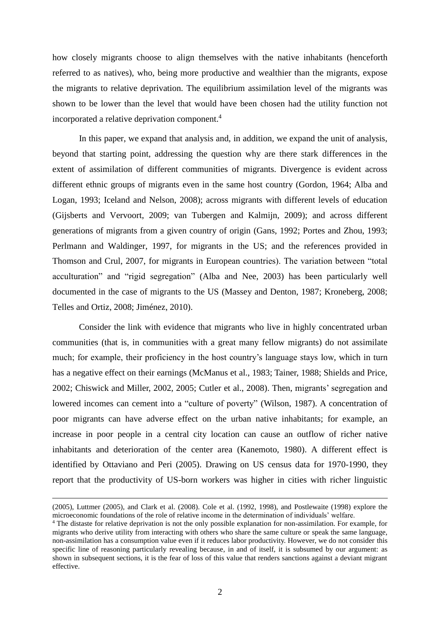how closely migrants choose to align themselves with the native inhabitants (henceforth referred to as natives), who, being more productive and wealthier than the migrants, expose the migrants to relative deprivation. The equilibrium assimilation level of the migrants was shown to be lower than the level that would have been chosen had the utility function not incorporated a relative deprivation component.<sup>4</sup>

In this paper, we expand that analysis and, in addition, we expand the unit of analysis, beyond that starting point, addressing the question why are there stark differences in the extent of assimilation of different communities of migrants. Divergence is evident across different ethnic groups of migrants even in the same host country (Gordon, 1964; Alba and Logan, 1993; Iceland and Nelson, 2008); across migrants with different levels of education (Gijsberts and Vervoort, 2009; van Tubergen and Kalmijn, 2009); and across different generations of migrants from a given country of origin (Gans, 1992; Portes and Zhou, 1993; Perlmann and Waldinger, 1997, for migrants in the US; and the references provided in Thomson and Crul, 2007, for migrants in European countries). The variation between "total acculturation" and "rigid segregation" (Alba and Nee, 2003) has been particularly well documented in the case of migrants to the US (Massey and Denton, 1987; Kroneberg, 2008; Telles and Ortiz, 2008; Jiménez, 2010).

Consider the link with evidence that migrants who live in highly concentrated urban communities (that is, in communities with a great many fellow migrants) do not assimilate much; for example, their proficiency in the host country's language stays low, which in turn has a negative effect on their earnings (McManus et al., 1983; Tainer, 1988; Shields and Price, 2002; Chiswick and Miller, 2002, 2005; Cutler et al., 2008). Then, migrants' segregation and lowered incomes can cement into a "culture of poverty" (Wilson, 1987). A concentration of poor migrants can have adverse effect on the urban native inhabitants; for example, an increase in poor people in a central city location can cause an outflow of richer native inhabitants and deterioration of the center area (Kanemoto, 1980). A different effect is identified by Ottaviano and Peri (2005). Drawing on US census data for 1970-1990, they report that the productivity of US-born workers was higher in cities with richer linguistic

 $\overline{a}$ 

<sup>(2005),</sup> Luttmer (2005), and Clark et al. (2008). Cole et al. (1992, 1998), and Postlewaite (1998) explore the microeconomic foundations of the role of relative income in the determination of individuals' welfare.

<sup>4</sup> The distaste for relative deprivation is not the only possible explanation for non-assimilation. For example, for migrants who derive utility from interacting with others who share the same culture or speak the same language, non-assimilation has a consumption value even if it reduces labor productivity. However, we do not consider this specific line of reasoning particularly revealing because, in and of itself, it is subsumed by our argument: as shown in subsequent sections, it is the fear of loss of this value that renders sanctions against a deviant migrant effective.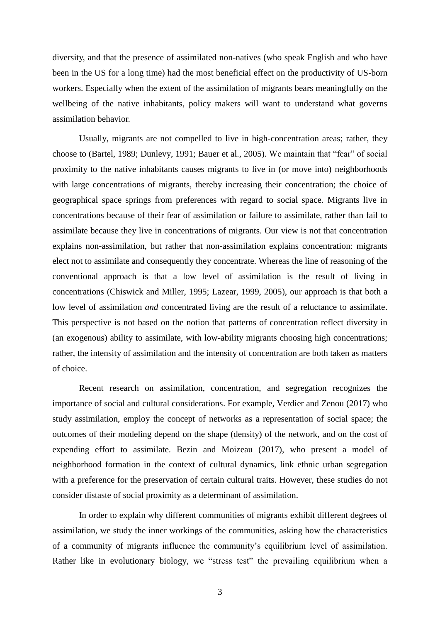diversity, and that the presence of assimilated non-natives (who speak English and who have been in the US for a long time) had the most beneficial effect on the productivity of US-born workers. Especially when the extent of the assimilation of migrants bears meaningfully on the wellbeing of the native inhabitants, policy makers will want to understand what governs assimilation behavior.

Usually, migrants are not compelled to live in high-concentration areas; rather, they choose to (Bartel, 1989; Dunlevy, 1991; Bauer et al., 2005). We maintain that "fear" of social proximity to the native inhabitants causes migrants to live in (or move into) neighborhoods with large concentrations of migrants, thereby increasing their concentration; the choice of geographical space springs from preferences with regard to social space. Migrants live in concentrations because of their fear of assimilation or failure to assimilate, rather than fail to assimilate because they live in concentrations of migrants. Our view is not that concentration explains non-assimilation, but rather that non-assimilation explains concentration: migrants elect not to assimilate and consequently they concentrate. Whereas the line of reasoning of the conventional approach is that a low level of assimilation is the result of living in concentrations (Chiswick and Miller, 1995; Lazear, 1999, 2005), our approach is that both a low level of assimilation *and* concentrated living are the result of a reluctance to assimilate. This perspective is not based on the notion that patterns of concentration reflect diversity in (an exogenous) ability to assimilate, with low-ability migrants choosing high concentrations; rather, the intensity of assimilation and the intensity of concentration are both taken as matters of choice.

Recent research on assimilation, concentration, and segregation recognizes the importance of social and cultural considerations. For example, Verdier and Zenou (2017) who study assimilation, employ the concept of networks as a representation of social space; the outcomes of their modeling depend on the shape (density) of the network, and on the cost of expending effort to assimilate. Bezin and Moizeau (2017), who present a model of neighborhood formation in the context of cultural dynamics, link ethnic urban segregation with a preference for the preservation of certain cultural traits. However, these studies do not consider distaste of social proximity as a determinant of assimilation.

In order to explain why different communities of migrants exhibit different degrees of assimilation, we study the inner workings of the communities, asking how the characteristics of a community of migrants influence the community's equilibrium level of assimilation. Rather like in evolutionary biology, we "stress test" the prevailing equilibrium when a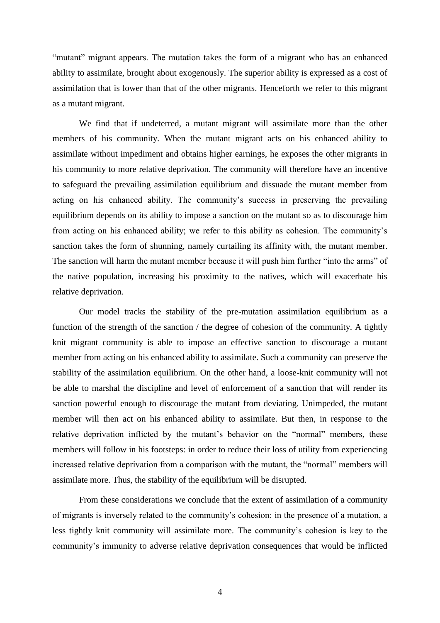"mutant" migrant appears. The mutation takes the form of a migrant who has an enhanced ability to assimilate, brought about exogenously. The superior ability is expressed as a cost of assimilation that is lower than that of the other migrants. Henceforth we refer to this migrant as a mutant migrant.

We find that if undeterred, a mutant migrant will assimilate more than the other members of his community. When the mutant migrant acts on his enhanced ability to assimilate without impediment and obtains higher earnings, he exposes the other migrants in his community to more relative deprivation. The community will therefore have an incentive to safeguard the prevailing assimilation equilibrium and dissuade the mutant member from acting on his enhanced ability. The community's success in preserving the prevailing equilibrium depends on its ability to impose a sanction on the mutant so as to discourage him from acting on his enhanced ability; we refer to this ability as cohesion. The community's sanction takes the form of shunning, namely curtailing its affinity with, the mutant member. The sanction will harm the mutant member because it will push him further "into the arms" of the native population, increasing his proximity to the natives, which will exacerbate his relative deprivation.

Our model tracks the stability of the pre-mutation assimilation equilibrium as a function of the strength of the sanction / the degree of cohesion of the community. A tightly knit migrant community is able to impose an effective sanction to discourage a mutant member from acting on his enhanced ability to assimilate. Such a community can preserve the stability of the assimilation equilibrium. On the other hand, a loose-knit community will not be able to marshal the discipline and level of enforcement of a sanction that will render its sanction powerful enough to discourage the mutant from deviating. Unimpeded, the mutant member will then act on his enhanced ability to assimilate. But then, in response to the relative deprivation inflicted by the mutant's behavior on the "normal" members, these members will follow in his footsteps: in order to reduce their loss of utility from experiencing increased relative deprivation from a comparison with the mutant, the "normal" members will assimilate more. Thus, the stability of the equilibrium will be disrupted.

From these considerations we conclude that the extent of assimilation of a community of migrants is inversely related to the community's cohesion: in the presence of a mutation, a less tightly knit community will assimilate more. The community's cohesion is key to the community's immunity to adverse relative deprivation consequences that would be inflicted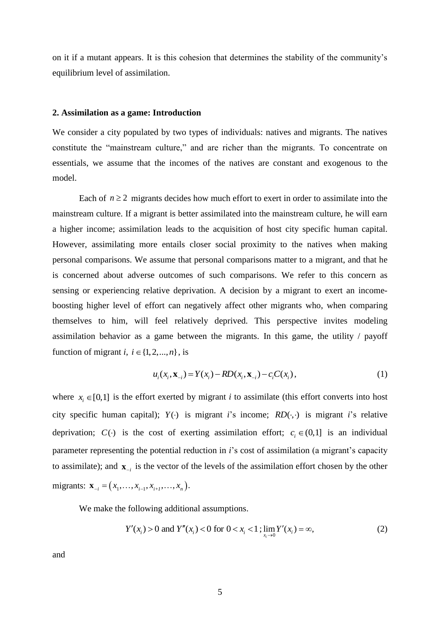on it if a mutant appears. It is this cohesion that determines the stability of the community's equilibrium level of assimilation.

#### **2. Assimilation as a game: Introduction**

We consider a city populated by two types of individuals: natives and migrants. The natives constitute the "mainstream culture," and are richer than the migrants. To concentrate on essentials, we assume that the incomes of the natives are constant and exogenous to the model.

Each of  $n \geq 2$  migrants decides how much effort to exert in order to assimilate into the mainstream culture. If a migrant is better assimilated into the mainstream culture, he will earn a higher income; assimilation leads to the acquisition of host city specific human capital. However, assimilating more entails closer social proximity to the natives when making personal comparisons. We assume that personal comparisons matter to a migrant, and that he is concerned about adverse outcomes of such comparisons. We refer to this concern as sensing or experiencing relative deprivation. A decision by a migrant to exert an incomeboosting higher level of effort can negatively affect other migrants who, when comparing themselves to him, will feel relatively deprived. This perspective invites modeling assimilation behavior as a game between the migrants. In this game, the utility / payoff function of migrant *i*,  $i \in \{1, 2, ..., n\}$ , is

$$
u_i(x_i, \mathbf{x}_{-i}) = Y(x_i) - RD(x_i, \mathbf{x}_{-i}) - c_i C(x_i),
$$
\n(1)

where  $x_i \in [0,1]$  is the effort exerted by migrant *i* to assimilate (this effort converts into host city specific human capital);  $Y(\cdot)$  is migrant *i*'s income;  $RD(\cdot, \cdot)$  is migrant *i*'s relative deprivation;  $C(\cdot)$  is the cost of exerting assimilation effort;  $c_i \in (0,1]$  is an individual parameter representing the potential reduction in *i*'s cost of assimilation (a migrant's capacity to assimilate); and  $\mathbf{x}_{i}$  is the vector of the levels of the assimilation effort chosen by the other migrants:  $\mathbf{x}_{-i} = (x_1, ..., x_{i-1}, x_{i+1}, ..., x_n).$ 

We make the following additional assumptions.

$$
Y'(x_i) > 0 \text{ and } Y''(x_i) < 0 \text{ for } 0 < x_i < 1; \lim_{x_i \to 0} Y'(x_i) = \infty,
$$
 (2)

and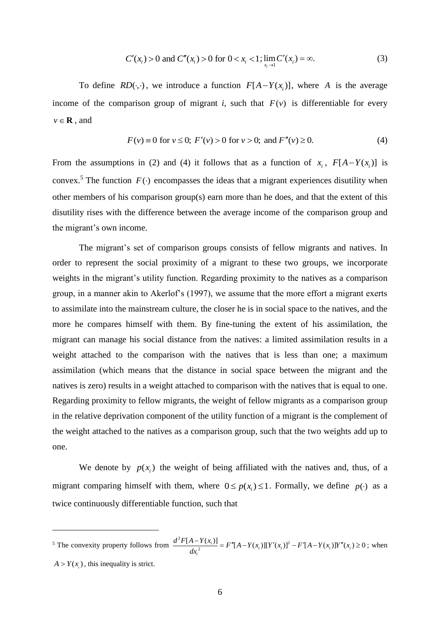$$
C'(x_i) > 0 \text{ and } C''(x_i) > 0 \text{ for } 0 < x_i < 1; \lim_{x_i \to 1} C'(x_i) = \infty.
$$
 (3)

To define  $RD(\cdot, \cdot)$ , we introduce a function  $F[A - Y(x_i)]$ , where A is the average income of the comparison group of migrant *i*, such that  $F(v)$  is differentiable for every  $v \in \mathbf{R}$ , and  $F(v) \equiv 0$  for  $v \le 0$ ;  $F'(v) > 0$  for  $v > 0$ ; and  $F''(v) \ge 0$ .

$$
F(v) \equiv 0 \text{ for } v \le 0; \ F'(v) > 0 \text{ for } v > 0; \text{ and } F''(v) \ge 0.
$$
 (4)

From the assumptions in (2) and (4) it follows that as a function of  $x_i$ ,  $F[A-Y(x_i)]$  is convex.<sup>5</sup> The function  $F(\cdot)$  encompasses the ideas that a migrant experiences disutility when other members of his comparison group(s) earn more than he does, and that the extent of this disutility rises with the difference between the average income of the comparison group and the migrant's own income.

The migrant's set of comparison groups consists of fellow migrants and natives. In order to represent the social proximity of a migrant to these two groups, we incorporate weights in the migrant's utility function. Regarding proximity to the natives as a comparison group, in a manner akin to Akerlof's (1997), we assume that the more effort a migrant exerts to assimilate into the mainstream culture, the closer he is in social space to the natives, and the more he compares himself with them. By fine-tuning the extent of his assimilation, the migrant can manage his social distance from the natives: a limited assimilation results in a weight attached to the comparison with the natives that is less than one; a maximum assimilation (which means that the distance in social space between the migrant and the natives is zero) results in a weight attached to comparison with the natives that is equal to one. Regarding proximity to fellow migrants, the weight of fellow migrants as a comparison group in the relative deprivation component of the utility function of a migrant is the complement of the weight attached to the natives as a comparison group, such that the two weights add up to one.

We denote by  $p(x_i)$  the weight of being affiliated with the natives and, thus, of a migrant comparing himself with them, where  $0 \le p(x) \le 1$ . Formally, we define  $p(\cdot)$  as a twice continuously differentiable function, such that

 $\overline{a}$ 

<sup>&</sup>lt;sup>5</sup> The convexity property follows from  $\frac{d^2 F[A - Y(x_i)]}{dx^2} = F''[A - Y(x_i)][Y'(x_i)]^2 - F'[A - Y(x_i)]Y''(x_i) \ge 0$  $\frac{Y(x_i)}{Y_i^2} = F''[A - Y(x_i)][Y'(x_i)]^2 - F'[A - Y(x_i)]Y''(x_i)$  $\frac{d^2F[A-Y(x_i)]}{dx^2} = F''[A-Y(x_i)][Y'(x_i)]^2 - F'[A-Y](X_i)$ *A*  $\frac{A-Y(x_i)}{dx_i^2} = F''[A-Y(x_i)][Y'(x_i)]^2 - F'[A-Y(x_i)]Y''(x_i)$  $\frac{Y(x_i)}{x_i^2} = F''[A - Y(x_i)][Y'(x_i)]^2 - F'[A - Y(x_i)]Y''(x_i) \ge 0$ ; when

 $A > Y(x_i)$ , this inequality is strict.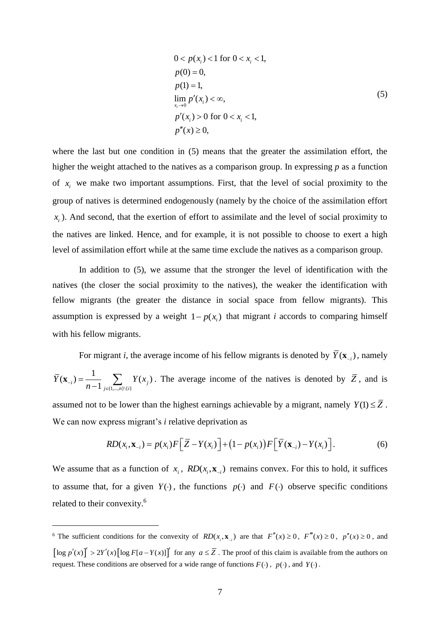$$
0 < p(x_i) < 1 \text{ for } 0 < x_i < 1, \\
 p(0) = 0, \\
 p(1) = 1, \\
 \lim_{x_i \to 0} p'(x_i) < \infty, \\
 p'(x_i) > 0 \text{ for } 0 < x_i < 1, \\
 p''(x) \ge 0,
$$
\n
$$
(5)
$$

where the last but one condition in (5) means that the greater the assimilation effort, the higher the weight attached to the natives as a comparison group. In expressing *p* as a function of  $x_i$  we make two important assumptions. First, that the level of social proximity to the group of natives is determined endogenously (namely by the choice of the assimilation effort  $x_i$ ). And second, that the exertion of effort to assimilate and the level of social proximity to the natives are linked. Hence, and for example, it is not possible to choose to exert a high level of assimilation effort while at the same time exclude the natives as a comparison group.

In addition to (5), we assume that the stronger the level of identification with the natives (the closer the social proximity to the natives), the weaker the identification with fellow migrants (the greater the distance in social space from fellow migrants). This assumption is expressed by a weight  $1 - p(x_i)$  that migrant *i* accords to comparing himself with his fellow migrants.

For migrant *i*, the average income of his fellow migrants is denoted by  $\overline{Y}(\mathbf{x}_{-i})$ , namely  $\sum_{i=1,...,n}\{\{i\}}$  $(\mathbf{x}_{-i}) = \frac{1}{n-1} \sum_{j \in \{1,...,n\}\setminus\{i\}} Y(x_j)$ *j*  $n^{j}$  *n* - 1  $\sum_{j \in \{1,...,n\} \setminus \{i\}}$  $\overline{Y}(\mathbf{x}_{-i}) = \frac{1}{n-1} \sum_{i \in \{1, \dots, n\} \setminus \{i\}} Y(x_i)$ ë  $=$  $\mathbf{x}_{-i} = \frac{1}{n-1} \sum_{i \in \{1,...,n\}\setminus\{i\}} Y(x_i)$ . The average income of the natives is denoted by  $\overline{Z}$ , and is assumed not to be lower than the highest earnings achievable by a migrant, namely  $Y(1) \leq \overline{Z}$ .

We can now express migrant's *i* relative deprivation as

 $\overline{a}$ 

$$
\text{repress migration's } i \text{ relative deprivation as}
$$
\n
$$
RD(x_i, \mathbf{x}_{-i}) = p(x_i)F\left[\overline{Z} - Y(x_i)\right] + \left(1 - p(x_i)\right)F\left[\overline{Y}(\mathbf{x}_{-i}) - Y(x_i)\right].\tag{6}
$$

We assume that as a function of  $x_i$ ,  $RD(x_i, \mathbf{x}_{-i})$  remains convex. For this to hold, it suffices to assume that, for a given  $Y(\cdot)$ , the functions  $p(\cdot)$  and  $F(\cdot)$  observe specific conditions related to their convexity.<sup>6</sup>

<sup>&</sup>lt;sup>6</sup> The sufficient conditions for the convexity of  $RD(x_i, \mathbf{x}_{-i})$  are that  $F''(x) \ge 0$ ,  $F'''(x) \ge 0$ ,  $p''(x) \ge 0$ , and  $\left[\log p'(x)\right]' > 2Y'(x)\left[\log F[a-Y(x)]\right]'$  for any  $a \le \overline{Z}$ . The proof of this claim is available from the authors on request. These conditions are observed for a wide range of functions  $F(\cdot)$ ,  $p(\cdot)$ , and  $Y(\cdot)$ .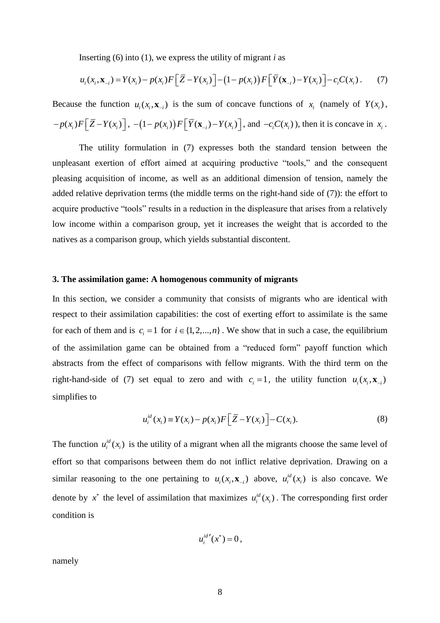Inserting (6) into (1), we express the utility of migrant *i* as

Inserting (6) into (1), we express the utility of migrant *i* as  
\n
$$
u_i(x_i, \mathbf{x}_{-i}) = Y(x_i) - p(x_i)F\left[\overline{Z} - Y(x_i)\right] - \left(1 - p(x_i)\right)F\left[\overline{Y}(\mathbf{x}_{-i}) - Y(x_i)\right] - c_iC(x_i). \tag{7}
$$

Because the function  $u_i(x_i, \mathbf{x}_{-i})$  is the sum of concave functions of  $x_i$  (namely of  $Y(x_i)$ ,  $-p(x_i)F\left[\overline{Z}-Y(x_i)\right]$ ,  $-\left(1-p(x_i)\right)F\left[\overline{Y}(\mathbf{x}_{-i})-Y(x_i)\right]$ , and  $-c_iC(x_i)$ , then it is concave in  $x_i$ .

The utility formulation in (7) expresses both the standard tension between the unpleasant exertion of effort aimed at acquiring productive "tools," and the consequent pleasing acquisition of income, as well as an additional dimension of tension, namely the added relative deprivation terms (the middle terms on the right-hand side of (7)): the effort to acquire productive "tools" results in a reduction in the displeasure that arises from a relatively low income within a comparison group, yet it increases the weight that is accorded to the natives as a comparison group, which yields substantial discontent.

#### **3. The assimilation game: A homogenous community of migrants**

In this section, we consider a community that consists of migrants who are identical with respect to their assimilation capabilities: the cost of exerting effort to assimilate is the same for each of them and is  $c_i = 1$  for  $i \in \{1, 2, ..., n\}$ . We show that in such a case, the equilibrium of the assimilation game can be obtained from a "reduced form" payoff function which abstracts from the effect of comparisons with fellow migrants. With the third term on the right-hand-side of (7) set equal to zero and with  $c_i = 1$ , the utility function  $u_i(x_i, \mathbf{x}_{-i})$ simplifies to

$$
u_i^{id}(x_i) = Y(x_i) - p(x_i)F[\bar{Z} - Y(x_i)] - C(x_i).
$$
 (8)

The function  $u_i^{id}(x_i)$  is the utility of a migrant when all the migrants choose the same level of effort so that comparisons between them do not inflict relative deprivation. Drawing on a similar reasoning to the one pertaining to  $u_i(x_i, \mathbf{x}_{-i})$  above,  $u_i^{id}(x_i)$  is also concave. We denote by  $x^*$  the level of assimilation that maximizes  $u_i^{id}(x_i)$ . The corresponding first order condition is

$$
u_i^{id'}(x^*)=0\,,
$$

namely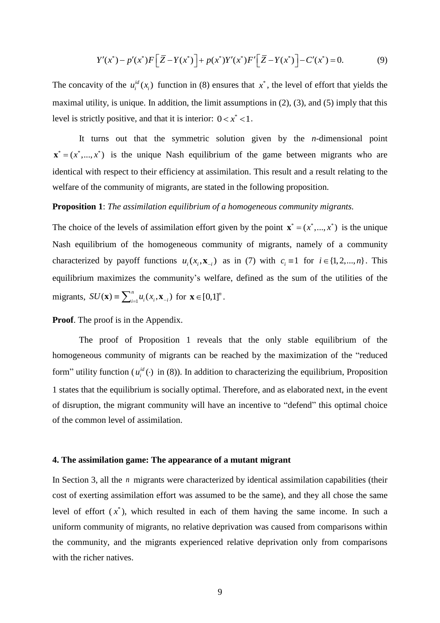$$
Y'(x^*) - p'(x^*)F\left[\overline{Z} - Y(x^*)\right] + p(x^*)Y'(x^*)F'\left[\overline{Z} - Y(x^*)\right] - C'(x^*) = 0.
$$
 (9)

The concavity of the  $u_i^{id}(x_i)$  function in (8) ensures that  $x^*$ , the level of effort that yields the maximal utility, is unique. In addition, the limit assumptions in (2), (3), and (5) imply that this level is strictly positive, and that it is interior:  $0 < x^* < 1$ .

It turns out that the symmetric solution given by the *n*-dimensional point  $\mathbf{x}^* = (x^*,..., x^*)$  is the unique Nash equilibrium of the game between migrants who are identical with respect to their efficiency at assimilation. This result and a result relating to the welfare of the community of migrants, are stated in the following proposition.

#### **Proposition 1**: *The assimilation equilibrium of a homogeneous community migrants.*

The choice of the levels of assimilation effort given by the point  $\mathbf{x}^* = (x^*,...,x^*)$  is the unique Nash equilibrium of the homogeneous community of migrants, namely of a community characterized by payoff functions  $u_i(x_i, \mathbf{x}_{-i})$  as in (7) with  $c_i \equiv 1$  for  $i \in \{1, 2, ..., n\}$ . This equilibrium maximizes the community's welfare, defined as the sum of the utilities of the migrants,  $SU(\mathbf{x}) = \sum_{i=1}^{n} u_i(x_i, \mathbf{x}_{-i})$  for  $\mathbf{x} \in [0,1]^n$ .

**Proof.** The proof is in the Appendix.

The proof of Proposition 1 reveals that the only stable equilibrium of the homogeneous community of migrants can be reached by the maximization of the "reduced form" utility function  $(u_i^{id}(\cdot)$  in (8)). In addition to characterizing the equilibrium, Proposition 1 states that the equilibrium is socially optimal. Therefore, and as elaborated next, in the event of disruption, the migrant community will have an incentive to "defend" this optimal choice of the common level of assimilation.

#### **4. The assimilation game: The appearance of a mutant migrant**

In Section 3, all the *n* migrants were characterized by identical assimilation capabilities (their cost of exerting assimilation effort was assumed to be the same), and they all chose the same level of effort  $(x^*)$ , which resulted in each of them having the same income. In such a uniform community of migrants, no relative deprivation was caused from comparisons within the community, and the migrants experienced relative deprivation only from comparisons with the richer natives.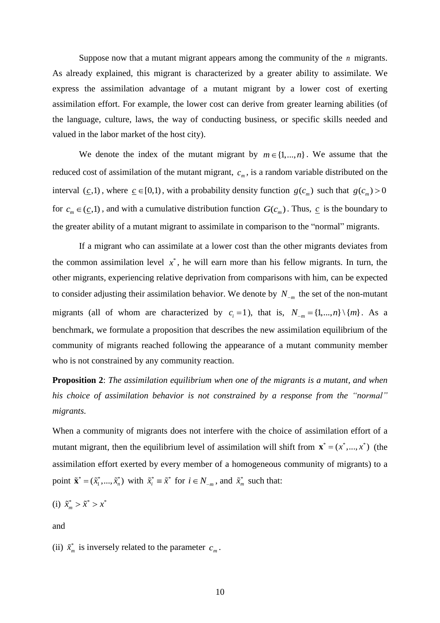Suppose now that a mutant migrant appears among the community of the *n* migrants. As already explained, this migrant is characterized by a greater ability to assimilate. We express the assimilation advantage of a mutant migrant by a lower cost of exerting assimilation effort. For example, the lower cost can derive from greater learning abilities (of the language, culture, laws, the way of conducting business, or specific skills needed and valued in the labor market of the host city).

We denote the index of the mutant migrant by  $m \in \{1, ..., n\}$ . We assume that the reduced cost of assimilation of the mutant migrant,  $c_m$ , is a random variable distributed on the interval (*c*,1), where  $c \in [0,1)$ , with a probability density function  $g(c_m)$  such that  $g(c_m) > 0$ for  $c_m \in (\underline{c},1)$ , and with a cumulative distribution function  $G(c_m)$ . Thus,  $\underline{c}$  is the boundary to the greater ability of a mutant migrant to assimilate in comparison to the "normal" migrants.

If a migrant who can assimilate at a lower cost than the other migrants deviates from the common assimilation level  $x^*$ , he will earn more than his fellow migrants. In turn, the other migrants, experiencing relative deprivation from comparisons with him, can be expected to consider adjusting their assimilation behavior. We denote by  $N_{-m}$  the set of the non-mutant migrants (all of whom are characterized by  $c_i = 1$ ), that is,  $N_{-m} = \{1, ..., n\} \setminus \{m\}$ . As a benchmark, we formulate a proposition that describes the new assimilation equilibrium of the community of migrants reached following the appearance of a mutant community member who is not constrained by any community reaction.

**Proposition 2**: *The assimilation equilibrium when one of the migrants is a mutant, and when his choice of assimilation behavior is not constrained by a response from the "normal" migrants.*

When a community of migrants does not interfere with the choice of assimilation effort of a mutant migrant, then the equilibrium level of assimilation will shift from  $\mathbf{x}^* = (x^*,...,x^*)$  (the assimilation effort exerted by every member of a homogeneous community of migrants) to a point  $\tilde{\mathbf{x}}^* = (\tilde{x}_1^*, ..., \tilde{x}_n^*)$  with  $\tilde{x}_i^* \equiv \tilde{x}^*$  for  $i \in N_{-m}$ , and  $\tilde{x}_m^*$  such that:

$$
(i) \ \tilde{x}_m^* > \tilde{x}^* > x^*
$$

and

(ii)  $\tilde{x}_m^*$  is inversely related to the parameter  $c_m$ .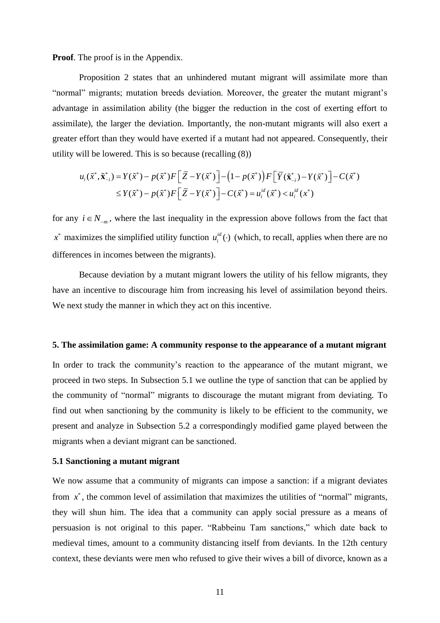**Proof**. The proof is in the Appendix.

Proposition 2 states that an unhindered mutant migrant will assimilate more than "normal" migrants; mutation breeds deviation. Moreover, the greater the mutant migrant's advantage in assimilation ability (the bigger the reduction in the cost of exerting effort to assimilate), the larger the deviation. Importantly, the non-mutant migrants will also exert a greater effort than they would have exerted if a mutant had not appeared. Consequently, their utility will be lowered. This is so because (recalling (8))

will be lowered. This is so because (recalling (8))  
\n
$$
u_i(\tilde{x}^*, \tilde{\mathbf{x}}_{-i}^*) = Y(\tilde{x}^*) - p(\tilde{x}^*)F\left[\bar{Z} - Y(\tilde{x}^*)\right] - \left(1 - p(\tilde{x}^*)\right)F\left[\bar{Y}(\tilde{\mathbf{x}}_{-i}^*) - Y(\tilde{x}^*)\right] - C(\tilde{x}^*)
$$
\n
$$
\leq Y(\tilde{x}^*) - p(\tilde{x}^*)F\left[\bar{Z} - Y(\tilde{x}^*)\right] - C(\tilde{x}^*) = u_i^{id}(\tilde{x}^*) < u_i^{id}(x^*)
$$

for any  $i \in N_{-m}$ , where the last inequality in the expression above follows from the fact that  $x^*$  maximizes the simplified utility function  $u_i^{id}(\cdot)$  (which, to recall, applies when there are no differences in incomes between the migrants).

Because deviation by a mutant migrant lowers the utility of his fellow migrants, they have an incentive to discourage him from increasing his level of assimilation beyond theirs. We next study the manner in which they act on this incentive.

#### **5. The assimilation game: A community response to the appearance of a mutant migrant**

In order to track the community's reaction to the appearance of the mutant migrant, we proceed in two steps. In Subsection 5.1 we outline the type of sanction that can be applied by the community of "normal" migrants to discourage the mutant migrant from deviating. To find out when sanctioning by the community is likely to be efficient to the community, we present and analyze in Subsection 5.2 a correspondingly modified game played between the migrants when a deviant migrant can be sanctioned.

#### **5.1 Sanctioning a mutant migrant**

We now assume that a community of migrants can impose a sanction: if a migrant deviates from  $x^*$ , the common level of assimilation that maximizes the utilities of "normal" migrants, they will shun him. The idea that a community can apply social pressure as a means of persuasion is not original to this paper. "Rabbeinu Tam sanctions," which date back to medieval times, amount to a community distancing itself from deviants. In the 12th century context, these deviants were men who refused to give their wives a bill of divorce, known as a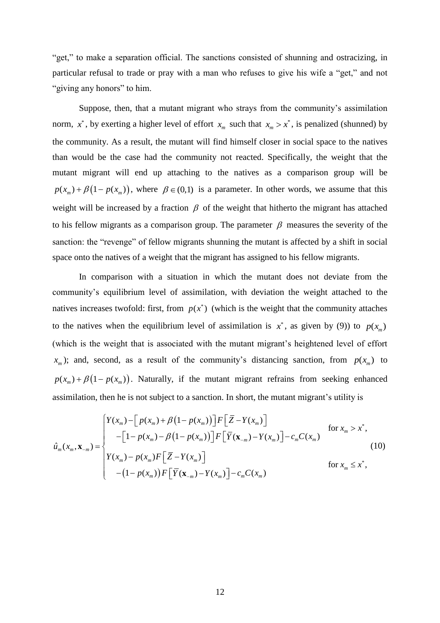"get," to make a separation official. The sanctions consisted of shunning and ostracizing, in particular refusal to trade or pray with a man who refuses to give his wife a "get," and not "giving any honors" to him.

Suppose, then, that a mutant migrant who strays from the community's assimilation norm,  $x^*$ , by exerting a higher level of effort  $x_m$  such that  $x_m > x^*$ , is penalized (shunned) by the community. As a result, the mutant will find himself closer in social space to the natives than would be the case had the community not reacted. Specifically, the weight that the mutant migrant will end up attaching to the natives as a comparison group will be  $p(x_m) + \beta (1 - p(x_m))$ , where  $\beta \in (0,1)$  is a parameter. In other words, we assume that this weight will be increased by a fraction  $\beta$  of the weight that hitherto the migrant has attached to his fellow migrants as a comparison group. The parameter  $\beta$  measures the severity of the sanction: the "revenge" of fellow migrants shunning the mutant is affected by a shift in social space onto the natives of a weight that the migrant has assigned to his fellow migrants.

In comparison with a situation in which the mutant does not deviate from the community's equilibrium level of assimilation, with deviation the weight attached to the natives increases twofold: first, from  $p(x^*)$  (which is the weight that the community attaches to the natives when the equilibrium level of assimilation is  $x^*$ , as given by (9)) to  $p(x_m)$ (which is the weight that is associated with the mutant migrant's heightened level of effort  $(x_m)$ ; and, second, as a result of the community's distancing sanction, from  $p(x_m)$  to  $p(x_m) + \beta (1 - p(x_m))$ . Naturally, if the mutant migrant refrains from seeking enhanced assimilation, then he is not subject to a sanction. In short, the mutant migrant's utility is en he is not subject to a sanction. In short, the *Y*( $x_m$ ) –  $\left[ p(x_m) + \beta \left( 1 - p(x_m) \right) \right] F \left[ \overline{Z} - Y(x_m) \right]$  $P(x_m)$ . Naturally, if the initial initial ferral fold seeking then he is not subject to a sanction. In short, the mutant migrant's utility<br>  $\left[ Y(x_m) - \left[ p(x_m) + \beta \left( 1 - p(x_m) \right) \right] F \left[ \overline{Z} - Y(x_m) \right] \right]$  for  $x_m >$ 

\n
$$
\text{assimilation, then he is not subject to a sanction. In short, the mutant migrant's utility is}
$$
\n
$$
\hat{u}_m(x_m, \mathbf{x}_{-m}) =\n \begin{cases}\n Y(x_m) - \left[ p(x_m) + \beta(1 - p(x_m)) \right] F\left[ \overline{Z} - Y(x_m) \right] & \text{for } x_m > x^*, \\
 -\left[ 1 - p(x_m) - \beta(1 - p(x_m)) \right] F\left[ \overline{Y}(\mathbf{x}_{-m}) - Y(x_m) \right] - c_m C(x_m) & \text{for } x_m > x^*, \\
 Y(x_m) - p(x_m) F\left[ \overline{Z} - Y(x_m) \right] & \text{for } x_m \leq x^*, \\
 -(1 - p(x_m)) F\left[ \overline{Y}(\mathbf{x}_{-m}) - Y(x_m) \right] - c_m C(x_m) & \text{for } x_m \leq x^*,\n \end{cases}
$$
\n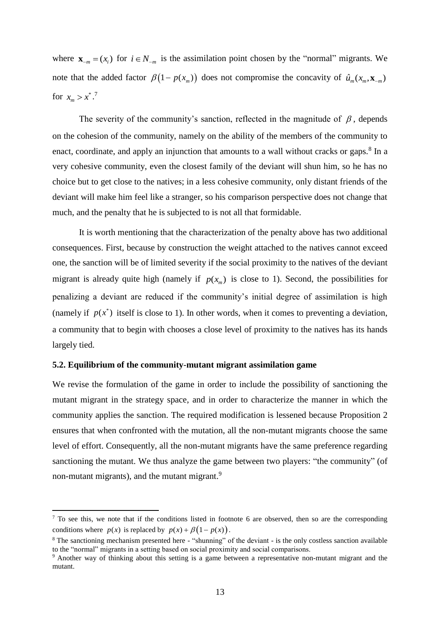where  $\mathbf{x}_{-m} = (x_i)$  for  $i \in N_{-m}$  is the assimilation point chosen by the "normal" migrants. We note that the added factor  $\beta(1 - p(x_m))$  does not compromise the concavity of  $\hat{u}_m(x_m, \mathbf{x}_{-m})$ for  $x_m > x^*$ .<sup>7</sup>

The severity of the community's sanction, reflected in the magnitude of  $\beta$ , depends on the cohesion of the community, namely on the ability of the members of the community to enact, coordinate, and apply an injunction that amounts to a wall without cracks or gaps.<sup>8</sup> In a very cohesive community, even the closest family of the deviant will shun him, so he has no choice but to get close to the natives; in a less cohesive community, only distant friends of the deviant will make him feel like a stranger, so his comparison perspective does not change that much, and the penalty that he is subjected to is not all that formidable.

It is worth mentioning that the characterization of the penalty above has two additional consequences. First, because by construction the weight attached to the natives cannot exceed one, the sanction will be of limited severity if the social proximity to the natives of the deviant migrant is already quite high (namely if  $p(x_m)$  is close to 1). Second, the possibilities for penalizing a deviant are reduced if the community's initial degree of assimilation is high (namely if  $p(x^*)$  itself is close to 1). In other words, when it comes to preventing a deviation, a community that to begin with chooses a close level of proximity to the natives has its hands largely tied.

#### **5.2. Equilibrium of the community**-**mutant migrant assimilation game**

 $\overline{a}$ 

We revise the formulation of the game in order to include the possibility of sanctioning the mutant migrant in the strategy space, and in order to characterize the manner in which the community applies the sanction. The required modification is lessened because Proposition 2 ensures that when confronted with the mutation, all the non-mutant migrants choose the same level of effort. Consequently, all the non-mutant migrants have the same preference regarding sanctioning the mutant. We thus analyze the game between two players: "the community" (of non-mutant migrants), and the mutant migrant.<sup>9</sup>

<sup>&</sup>lt;sup>7</sup> To see this, we note that if the conditions listed in footnote 6 are observed, then so are the corresponding conditions where  $p(x)$  is replaced by  $p(x) + \beta(1 - p(x))$ .

<sup>&</sup>lt;sup>8</sup> The sanctioning mechanism presented here - "shunning" of the deviant - is the only costless sanction available to the "normal" migrants in a setting based on social proximity and social comparisons.

<sup>9</sup> Another way of thinking about this setting is a game between a representative non-mutant migrant and the mutant.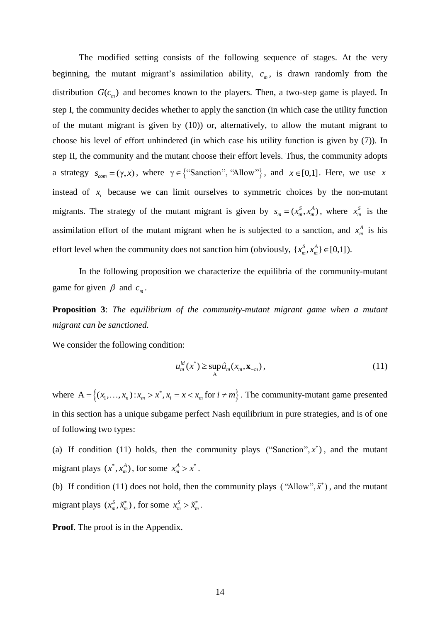The modified setting consists of the following sequence of stages. At the very beginning, the mutant migrant's assimilation ability,  $c_m$ , is drawn randomly from the distribution  $G(c_m)$  and becomes known to the players. Then, a two-step game is played. In step I, the community decides whether to apply the sanction (in which case the utility function of the mutant migrant is given by (10)) or, alternatively, to allow the mutant migrant to choose his level of effort unhindered (in which case his utility function is given by (7)). In step II, the community and the mutant choose their effort levels. Thus, the community adopts a strategy  $s_{com} = (\gamma, x)$ , where  $\gamma \in \{``Sanction", ``Allow"\}$ , and  $x \in [0,1]$ . Here, we use x instead of  $x_i$  because we can limit ourselves to symmetric choices by the non-mutant migrants. The strategy of the mutant migrant is given by  $s_m = (x_m^S, x_m^A)$  $s_m = (x_m^S, x_m^A)$ , where  $x_m^S$  $x_m^S$  is the assimilation effort of the mutant migrant when he is subjected to a sanction, and  $x<sub>m</sub><sup>A</sup>$  $x_m^A$  is his effort level when the community does not sanction him (obviously,  $\{x_m^s, x_m^A\} \in [0,1]$ ).

In the following proposition we characterize the equilibria of the community-mutant game for given  $\beta$  and  $c_m$ .

**Proposition 3**: *The equilibrium of the community-mutant migrant game when a mutant migrant can be sanctioned.*

We consider the following condition:

$$
u_m^{id}(x^*) \ge \sup_{A} \hat{u}_m(x_m, \mathbf{x}_{-m}),
$$
\n(11)

where  $A = \{(x_1, ..., x_n) : x_m > x^*, x_i = x < x_m \text{ for } i \neq m\}$ . The community-mutant game presented in this section has a unique subgame perfect Nash equilibrium in pure strategies, and is of one of following two types:

(a) If condition (11) holds, then the community plays ("Sanction", $x^*$ ), and the mutant migrant plays  $(x^*, x_m^A)$ , for some  $x_m^A > x^*$ .

(b) If condition (11) does not hold, then the community plays ("Allow",  $\tilde{x}$ "), and the mutant migrant plays  $(x_m^S, \tilde{x}_m^*)$  $x_m^S$ ,  $\tilde{x}_m^*$ ), for some  $x_m^S > \tilde{x}_m^*$ .

**Proof**. The proof is in the Appendix.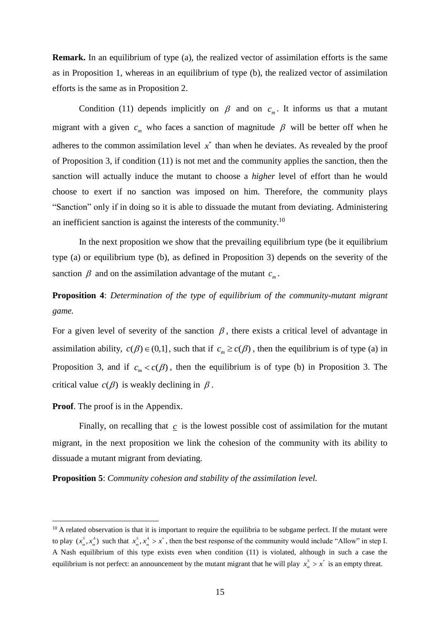**Remark.** In an equilibrium of type (a), the realized vector of assimilation efforts is the same as in Proposition 1, whereas in an equilibrium of type (b), the realized vector of assimilation efforts is the same as in Proposition 2.

Condition (11) depends implicitly on  $\beta$  and on  $c_m$ . It informs us that a mutant migrant with a given  $c_m$  who faces a sanction of magnitude  $\beta$  will be better off when he adheres to the common assimilation level  $x^*$  than when he deviates. As revealed by the proof of Proposition 3, if condition (11) is not met and the community applies the sanction, then the sanction will actually induce the mutant to choose a *higher* level of effort than he would choose to exert if no sanction was imposed on him. Therefore, the community plays "Sanction" only if in doing so it is able to dissuade the mutant from deviating. Administering an inefficient sanction is against the interests of the community.<sup>10</sup>

In the next proposition we show that the prevailing equilibrium type (be it equilibrium type (a) or equilibrium type (b), as defined in Proposition 3) depends on the severity of the sanction  $\beta$  and on the assimilation advantage of the mutant  $c_m$ .

# **Proposition 4**: *Determination of the type of equilibrium of the community-mutant migrant game.*

For a given level of severity of the sanction  $\beta$ , there exists a critical level of advantage in assimilation ability,  $c(\beta) \in (0,1]$ , such that if  $c_m \ge c(\beta)$ , then the equilibrium is of type (a) in Proposition 3, and if  $c_m < c(\beta)$ , then the equilibrium is of type (b) in Proposition 3. The critical value  $c(\beta)$  is weakly declining in  $\beta$ .

**Proof**. The proof is in the Appendix.

 $\overline{a}$ 

Finally, on recalling that  $\overline{c}$  is the lowest possible cost of assimilation for the mutant migrant, in the next proposition we link the cohesion of the community with its ability to dissuade a mutant migrant from deviating.

**Proposition 5**: *Community cohesion and stability of the assimilation level.*

 $10$  A related observation is that it is important to require the equilibria to be subgame perfect. If the mutant were to play  $(x_n^s, x_n^A)$  $(x_{m}^{S}, x_{m}^{A})$  such that  $x_{m}^{S}, x_{m}^{A} > x^{*}$  $x<sub>m</sub><sup>s</sup>, x<sub>m</sub><sup>A</sup> > x<sup>s</sup>$ , then the best response of the community would include "Allow" in step I. A Nash equilibrium of this type exists even when condition (11) is violated, although in such a case the equilibrium is not perfect: an announcement by the mutant migrant that he will play  $x_m^s > x^*$  is an empty threat.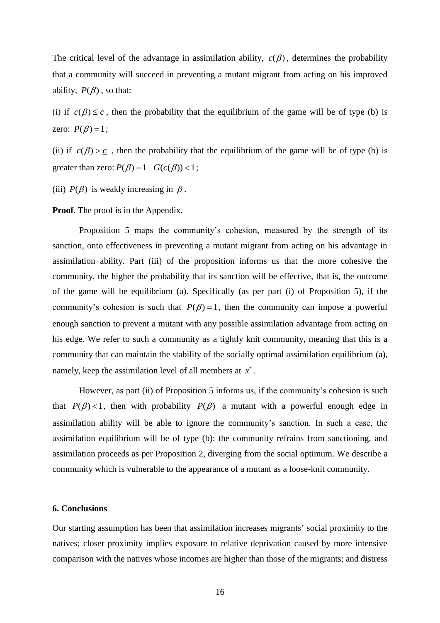The critical level of the advantage in assimilation ability,  $c(\beta)$ , determines the probability that a community will succeed in preventing a mutant migrant from acting on his improved ability,  $P(\beta)$ , so that:

(i) if  $c(\beta) \leq \underline{c}$ , then the probability that the equilibrium of the game will be of type (b) is zero:  $P(\beta) = 1$ ;

(ii) if  $c(\beta) > c$ , then the probability that the equilibrium of the game will be of type (b) is greater than zero:  $P(\beta) = 1 - G(c(\beta)) < 1$ ;

(iii)  $P(\beta)$  is weakly increasing in  $\beta$ .

**Proof**. The proof is in the Appendix.

Proposition 5 maps the community's cohesion, measured by the strength of its sanction, onto effectiveness in preventing a mutant migrant from acting on his advantage in assimilation ability. Part (iii) of the proposition informs us that the more cohesive the community, the higher the probability that its sanction will be effective, that is, the outcome of the game will be equilibrium (a). Specifically (as per part (i) of Proposition 5), if the community's cohesion is such that  $P(\beta) = 1$ , then the community can impose a powerful enough sanction to prevent a mutant with any possible assimilation advantage from acting on his edge. We refer to such a community as a tightly knit community, meaning that this is a community that can maintain the stability of the socially optimal assimilation equilibrium (a), namely, keep the assimilation level of all members at  $x^*$ .

However, as part (ii) of Proposition 5 informs us, if the community's cohesion is such that  $P(\beta)$  < 1, then with probability  $P(\beta)$  a mutant with a powerful enough edge in assimilation ability will be able to ignore the community's sanction. In such a case, the assimilation equilibrium will be of type (b): the community refrains from sanctioning, and assimilation proceeds as per Proposition 2, diverging from the social optimum. We describe a community which is vulnerable to the appearance of a mutant as a loose-knit community.

#### **6. Conclusions**

Our starting assumption has been that assimilation increases migrants' social proximity to the natives; closer proximity implies exposure to relative deprivation caused by more intensive comparison with the natives whose incomes are higher than those of the migrants; and distress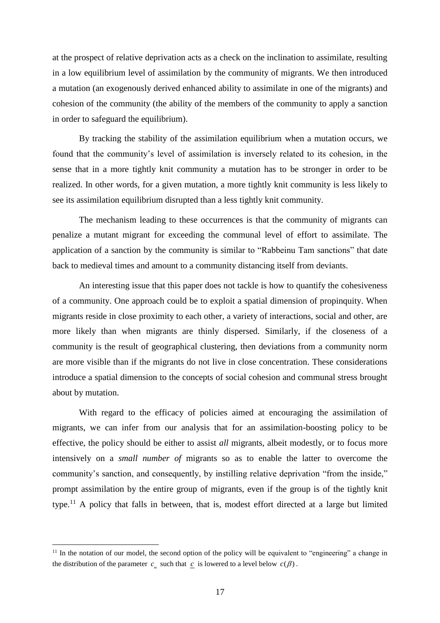at the prospect of relative deprivation acts as a check on the inclination to assimilate, resulting in a low equilibrium level of assimilation by the community of migrants. We then introduced a mutation (an exogenously derived enhanced ability to assimilate in one of the migrants) and cohesion of the community (the ability of the members of the community to apply a sanction in order to safeguard the equilibrium).

By tracking the stability of the assimilation equilibrium when a mutation occurs, we found that the community's level of assimilation is inversely related to its cohesion, in the sense that in a more tightly knit community a mutation has to be stronger in order to be realized. In other words, for a given mutation, a more tightly knit community is less likely to see its assimilation equilibrium disrupted than a less tightly knit community.

The mechanism leading to these occurrences is that the community of migrants can penalize a mutant migrant for exceeding the communal level of effort to assimilate. The application of a sanction by the community is similar to "Rabbeinu Tam sanctions" that date back to medieval times and amount to a community distancing itself from deviants.

An interesting issue that this paper does not tackle is how to quantify the cohesiveness of a community. One approach could be to exploit a spatial dimension of propinquity. When migrants reside in close proximity to each other, a variety of interactions, social and other, are more likely than when migrants are thinly dispersed. Similarly, if the closeness of a community is the result of geographical clustering, then deviations from a community norm are more visible than if the migrants do not live in close concentration. These considerations introduce a spatial dimension to the concepts of social cohesion and communal stress brought about by mutation.

With regard to the efficacy of policies aimed at encouraging the assimilation of migrants, we can infer from our analysis that for an assimilation-boosting policy to be effective, the policy should be either to assist *all* migrants, albeit modestly, or to focus more intensively on a *small number of* migrants so as to enable the latter to overcome the community's sanction, and consequently, by instilling relative deprivation "from the inside," prompt assimilation by the entire group of migrants, even if the group is of the tightly knit type.<sup>11</sup> A policy that falls in between, that is, modest effort directed at a large but limited

 $\overline{a}$ 

 $11$  In the notation of our model, the second option of the policy will be equivalent to "engineering" a change in the distribution of the parameter  $c_m$  such that  $c_c$  is lowered to a level below  $c(\beta)$ .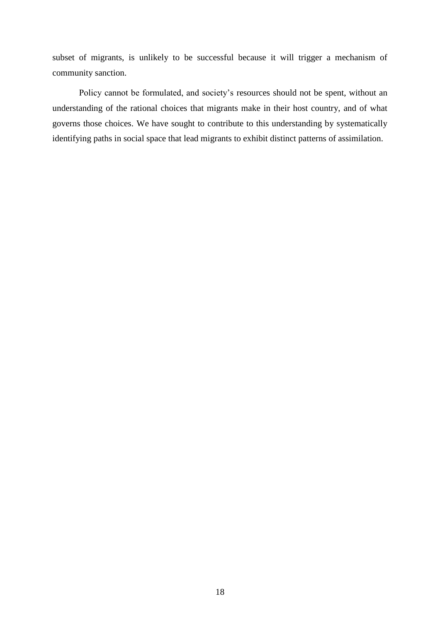subset of migrants, is unlikely to be successful because it will trigger a mechanism of community sanction.

Policy cannot be formulated, and society's resources should not be spent, without an understanding of the rational choices that migrants make in their host country, and of what governs those choices. We have sought to contribute to this understanding by systematically identifying paths in social space that lead migrants to exhibit distinct patterns of assimilation.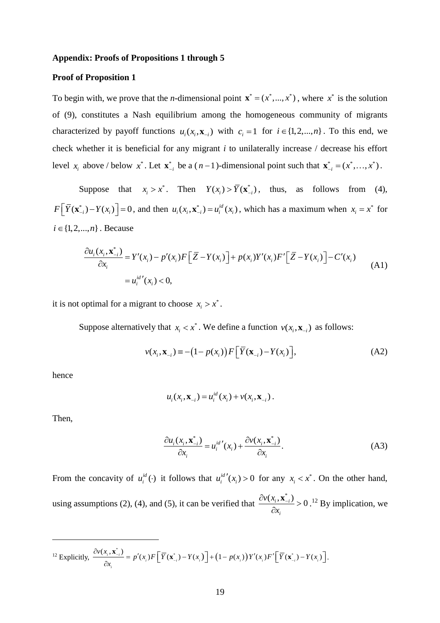#### **Appendix: Proofs of Propositions 1 through 5**

#### **Proof of Proposition 1**

To begin with, we prove that the *n*-dimensional point  $\mathbf{x}^* = (x^*,...,x^*)$ , where  $x^*$  is the solution of (9), constitutes a Nash equilibrium among the homogeneous community of migrants characterized by payoff functions  $u_i(x_i, \mathbf{x}_{-i})$  with  $c_i = 1$  for  $i \in \{1, 2, ..., n\}$ . To this end, we check whether it is beneficial for any migrant *i* to unilaterally increase / decrease his effort level  $x_i$  above / below  $x^*$ . Let  $\mathbf{x}^*_{-i}$  be a  $(n-1)$ -dimensional point such that  $\mathbf{x}^*_{-i} = (x^*,...,x^*)$ .

Suppose that  $x_i > x^*$ . Then  $Y(x_i) > \overline{Y}(\mathbf{x}_{-i}^*)$ , thus, as follows from (4),  $F\left[\overline{Y}(\mathbf{x}_{-i}^*) - Y(x_i)\right] = 0$ , and then  $u_i(x_i, \mathbf{x}_{-i}^*) = u_i^{id}(x_i)$ , which has a maximum when  $x_i = x^*$  for  $i \in \{1, 2, ..., n\}$ . Because

$$
\therefore n \} \text{. Because}
$$
\n
$$
\frac{\partial u_i(x_i, \mathbf{x}_{-i}^*)}{\partial x_i} = Y'(x_i) - p'(x_i)F\left[\overline{Z} - Y(x_i)\right] + p(x_i)Y'(x_i)F'\left[\overline{Z} - Y(x_i)\right] - C'(x_i)
$$
\n
$$
= u_i^{id'}(x_i) < 0,
$$
\n(A1)

it is not optimal for a migrant to choose  $x_i > x^*$ .

Suppose alternatively that  $x_i < x^*$ . We define a function  $v(x_i, \mathbf{x}_{-i})$  as follows:

$$
v(x_i, \mathbf{x}_{-i}) = -\big(1 - p(x_i)\big) F\Big[\overline{Y}(\mathbf{x}_{-i}) - Y(x_i)\Big],\tag{A2}
$$

hence

$$
u_i(x_i, \mathbf{X}_{-i}) = u_i^{id}(x_i) + v(x_i, \mathbf{X}_{-i}).
$$

Then,

 $\overline{a}$ 

$$
\frac{\partial u_i(x_i, \mathbf{x}_{-i}^*)}{\partial x_i} = u_i^{id'}(x_i) + \frac{\partial v(x_i, \mathbf{x}_{-i}^*)}{\partial x_i}.
$$
\n(A3)

From the concavity of  $u_i^{id}(\cdot)$  it follows that  $u_i^{id'}(x_i) > 0$  for any  $x_i < x^*$ . On the other hand, using assumptions (2), (4), and (5), it can be verified that \*  $\frac{(x_i, \mathbf{x}_{-i}^*)}{2} > 0$ *i*  $v(x)$ *x*  $\frac{\partial v(x_i, \mathbf{x}_{-i}^*)}{\partial x_i}$  $\widehat{o}$  $\left(\frac{\mathbf{x}^*_{-i}}{2}\right) > 0$ .<sup>12</sup> By implication, we

<sup>12</sup> Explicitly,  $\frac{\partial v(x_i, \mathbf{x}_{-i}^*)}{\partial y_i} = p'(x_i) F \left[ \overline{Y}(\mathbf{x}_{-i}^*) - Y(x_i) \right] + (1 - p(x_i)) Y'(x_i) F' \left[ \overline{Y}(\mathbf{x}_i^*) - Y(x_i) \right]$  $\frac{(x_i, \mathbf{x}_{-i}^*)}{\partial x} = p'(x_i) F\left[\overline{Y}(\mathbf{x}_{-i}^*) - Y(x_i)\right] + (1 - p(x_i)) Y'(x_i) F'\left[\overline{Y}(\mathbf{x}_{-i}^*) - Y(x_i)\right]$  $\frac{d}{dx_i} \frac{d}{dx_i} = p'(x_i) F\left[\overline{Y}(\mathbf{x}_{-i}^*) - Y(x_i)\right] + (1 - p(x_i)) Y'(x_i) F'\left[\overline{Y}(\mathbf{x}_{-i}^*) - Y(x_i)\right]$ *v*(*x<sub>i</sub>*, **x**<sup>\*</sup><sub>*i*</sub>)</sup> =  $p'(x_i)F[\overline{Y}(\mathbf{x}^*_{-i}) - Y(x_i)] + (1 - p(x_i))Y'(x_i)F'[\overline{Y}(\mathbf{x}^*_{-i}) - Y(x_i)]$  $\frac{\partial v(x_i, \mathbf{x}_{-i}^*)}{\partial x} = p'(x_i) F\left[\overline{Y}(\mathbf{x}_{-i}^*) - Y(x_i)\right] + (1 - p(x_i)) Y'(x_i) F'\left[\overline{Y}(\mathbf{x}_{-i}^*) - Y(x_i)\right]$  $\frac{x_i, \mathbf{x}_{-i}^*}{\partial x_i} = p'(x_i) F\Big[\overline{Y}(\mathbf{x}_{-i}^*) - Y(x_i)\Big] + (1 - p(x_i)) Y'(x_i) F'\Big[\overline{Y}(\mathbf{x}_{-i}^*) - Y(x_i)\Big].$ **x x**<sup>\*</sup><sub>-i</sub>) –  $Y(x_i)$  ] +  $(1 - p(x_i)) Y'(x_i) F'$  [ $\overline{Y}(\mathbf{x}^*_{-i}) - Y(x_i)$ ].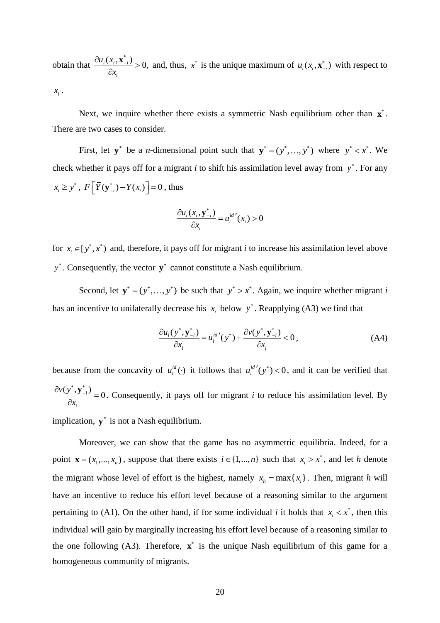obtain that  $\frac{i(x_i, \mathbf{x}_{-i}^*)}{2} > 0,$ *i*  $u_i(x)$ *x*  $\frac{\partial u_i(x_i, \mathbf{x}_{-i}^*)}{\partial x_i}$  $\partial$  $\mathbf{x}^*_{-i} > 0$ , and, thus,  $x^*$  is the unique maximum of  $u_i(x_i, \mathbf{x}^*_{-i})$  with respect to  $x_i$ .

Next, we inquire whether there exists a symmetric Nash equilibrium other than  $\mathbf{x}^*$ . There are two cases to consider.

First, let **y**<sup>\*</sup> be a *n*-dimensional point such that  $y^* = (y^*,..., y^*)$  where  $y^* < x^*$ . We check whether it pays off for a migrant  $i$  to shift his assimilation level away from  $y^*$ . For any  $x_i \ge y^*$ ,  $F\left[\overline{Y}(\mathbf{y}_{-i}^*) - Y(x_i)\right] = 0$ , thus

$$
\frac{\partial u_i(x_i, \mathbf{y}_{-i}^*)}{\partial x_i} = u_i^{id}(x_i) > 0
$$

for  $x_i \in [y^*, x^*)$  and, therefore, it pays off for migrant *i* to increase his assimilation level above y<sup>\*</sup>. Consequently, the vector **y**<sup>\*</sup> cannot constitute a Nash equilibrium.

Second, let  $y^* = (y^*,..., y^*)$  be such that  $y^* > x^*$ . Again, we inquire whether migrant *i* has an incentive to unilaterally decrease his  $x_i$  below  $y^*$ . Reapplying (A3) we find that

$$
\frac{\partial u_i(y^*, \mathbf{y}_{-i}^*)}{\partial x_i} = u_i^{id'}(y^*) + \frac{\partial v(y^*, \mathbf{y}_{-i}^*)}{\partial x_i} < 0,
$$
\n(A4)

because from the concavity of  $u_i^{id}(\cdot)$  it follows that  $u_i^{id'}(y^*)$  < 0, and it can be verified that  $*$   $\mathbf{v}^*$  $\frac{(y^*, \mathbf{y}^*_{-i})}{2} = 0$ *i v x*  $\frac{\partial v(y^*, y^*_{-i})}{\partial y} =$  $\partial$  $y_{-i}^{*}$ ) = 0. Consequently, it pays off for migrant *i* to reduce his assimilation level. By implication,  $y^*$  is not a Nash equilibrium.

Moreover, we can show that the game has no asymmetric equilibria. Indeed, for a point  $\mathbf{x} = (x_1, ..., x_n)$ , suppose that there exists  $i \in \{1, ..., n\}$  such that  $x_i > x^*$ , and let *h* denote the migrant whose level of effort is the highest, namely  $x_h = \max\{x_i\}$ . Then, migrant *h* will have an incentive to reduce his effort level because of a reasoning similar to the argument pertaining to (A1). On the other hand, if for some individual *i* it holds that  $x_i < x^*$ , then this individual will gain by marginally increasing his effort level because of a reasoning similar to the one following  $(A3)$ . Therefore,  $\mathbf{x}^*$  is the unique Nash equilibrium of this game for a homogeneous community of migrants.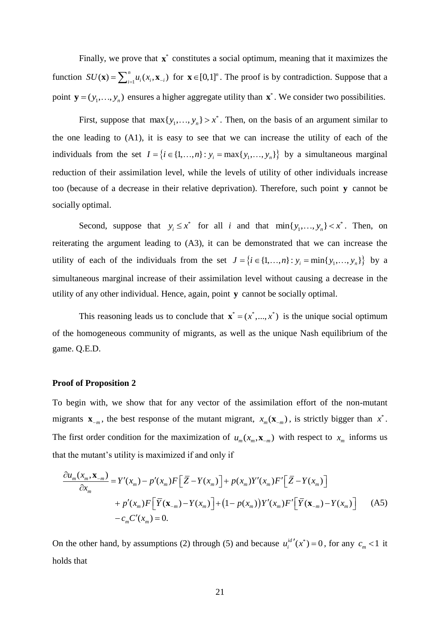Finally, we prove that  $x^*$  constitutes a social optimum, meaning that it maximizes the function  $SU(\mathbf{x}) = \sum_{i=1}^{n} u_i(x_i, \mathbf{x}_{-i})$  for  $\mathbf{x} \in [0,1]^n$ . The proof is by contradiction. Suppose that a point  $\mathbf{y} = (y_1, \dots, y_n)$  ensures a higher aggregate utility than  $\mathbf{x}^*$ . We consider two possibilities.

First, suppose that  $\max\{y_1, ..., y_n\} > x^*$ . Then, on the basis of an argument similar to the one leading to (A1), it is easy to see that we can increase the utility of each of the individuals from the set  $I = \{i \in \{1, ..., n\} : y_i = \max\{y_1, ..., y_n\}\}$  by a simultaneous marginal reduction of their assimilation level, while the levels of utility of other individuals increase too (because of a decrease in their relative deprivation). Therefore, such point **y** cannot be socially optimal.

Second, suppose that  $y_i \le x^*$  for all *i* and that  $\min\{y_1, ..., y_n\} < x^*$ . Then, on reiterating the argument leading to (A3), it can be demonstrated that we can increase the utility of each of the individuals from the set  $J = \{i \in \{1, ..., n\} : y_i = \min\{y_1, ..., y_n\}\}$  by a simultaneous marginal increase of their assimilation level without causing a decrease in the utility of any other individual. Hence, again, point **y** cannot be socially optimal.

This reasoning leads us to conclude that  $\mathbf{x}^* = (x^*,..., x^*)$  is the unique social optimum of the homogeneous community of migrants, as well as the unique Nash equilibrium of the game. Q.E.D.

#### **Proof of Proposition 2**

To begin with, we show that for any vector of the assimilation effort of the non-mutant migrants  $\mathbf{x}_{-m}$ , the best response of the mutant migrant,  $x_m(\mathbf{x}_{-m})$ , is strictly bigger than  $x^*$ . The first order condition for the maximization of  $u_m(x_m, \mathbf{x}_{-m})$  with respect to  $x_m$  informs us that the mutant's utility is maximized if and only if

Let the mutant's utility is maximized if and only if  
\n
$$
\frac{\partial u_m(x_m, \mathbf{x}_{-m})}{\partial x_m} = Y'(x_m) - p'(x_m)F\left[\overline{Z} - Y(x_m)\right] + p(x_m)Y'(x_m)F'\left[\overline{Z} - Y(x_m)\right]
$$
\n
$$
+ p'(x_m)F\left[\overline{Y}(\mathbf{x}_{-m}) - Y(x_m)\right] + (1 - p(x_m))Y'(x_m)F'\left[\overline{Y}(\mathbf{x}_{-m}) - Y(x_m)\right] \tag{A5}
$$
\n
$$
-c_m C'(x_m) = 0.
$$

On the other hand, by assumptions (2) through (5) and because  $u_i^{id'}(x^*) = 0$  $u_i^{id'}(x^*) = 0$ , for any  $c_m < 1$  it holds that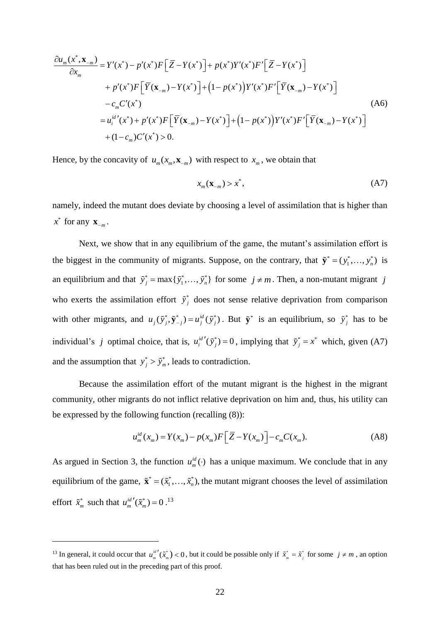$$
\frac{\partial u_m(x^*, \mathbf{x}_{-m})}{\partial x_m} = Y'(x^*) - p'(x^*)F\left[\overline{Z} - Y(x^*)\right] + p(x^*)Y'(x^*)F'\left[\overline{Z} - Y(x^*)\right] \n+ p'(x^*)F\left[\overline{Y}(\mathbf{x}_{-m}) - Y(x^*)\right] + (1 - p(x^*))Y'(x^*)F'\left[\overline{Y}(\mathbf{x}_{-m}) - Y(x^*)\right] \n- c_m C'(x^*) \n= u_i^{id'}(x^*) + p'(x^*)F\left[\overline{Y}(\mathbf{x}_{-m}) - Y(x^*)\right] + (1 - p(x^*))Y'(x^*)F'\left[\overline{Y}(\mathbf{x}_{-m}) - Y(x^*)\right] \n+ (1 - c_m)C'(x^*) > 0.
$$
\n(A6)

Hence, by the concavity of  $u_m(x_m, \mathbf{x}_{-m})$  with respect to  $x_m$ , we obtain that

$$
x_m(\mathbf{x}_{-m}) > x^*,\tag{A7}
$$

namely, indeed the mutant does deviate by choosing a level of assimilation that is higher than  $x^*$  for any  $\mathbf{x}_{-m}$ .

 $[(1-p(x^*))$ <br>  $Y(x^*)] + (1-$ <br>  $[(x^*)] + (1-$ <br>  $[(x_{-m}) > x^*],$ <br>
choosing a<br>  $[2m]$ <br>  $[3m]$ <br>  $[5m]$ <br>  $[5m]$ <br>  $[5m]$ <br>  $[6m]$ <br>  $[6m]$ <br>  $[6m]$ <br>  $[6m]$ <br>  $[6m]$ <br>  $[6m]$ <br>  $[6m]$ <br>  $[6m]$ <br>  $[6m]$ <br>  $[6m]$ <br>  $[6m]$ <br>  $[6m]$ <br>  $[6m]$ <br>  $[6m]$ <br>  $[6m]$ Next, we show that in any equilibrium of the game, the mutant's assimilation effort is the biggest in the community of migrants. Suppose, on the contrary, that  $\tilde{\mathbf{y}}^* = (y_1^*, \dots, y_n^*)$  is an equilibrium and that  $\tilde{y}_j^* = \max{\{\tilde{y}_1^*, \dots, \tilde{y}_n^*\}}$  for some  $j \neq m$ . Then, a non-mutant migrant j who exerts the assimilation effort  $\tilde{y}^*$  does not sense relative deprivation from comparison with other migrants, and  $u_j(\tilde{y}_j^*, \tilde{y}_{-j}^*) = u_j^{id}(\tilde{y}_j^*)$ . But  $\tilde{y}^*$  is an equilibrium, so  $\tilde{y}_j^*$  has to be individual's *j* optimal choice, that is,  $u_i^{id'}(\tilde{y}_j^*) = 0$ , implying that  $\tilde{y}_j^* = x^*$  which, given (A7) and the assumption that  $y_j^* > \tilde{y}_m^*$ , leads to contradiction.

Because the assimilation effort of the mutant migrant is the highest in the migrant community, other migrants do not inflict relative deprivation on him and, thus, his utility can be expressed by the following function (recalling (8)):

showing function (recaming (8)).

\n
$$
u_m^{id}(x_m) = Y(x_m) - p(x_m)F\left[\overline{Z} - Y(x_m)\right] - c_m C(x_m).
$$
\n(A8)

As argued in Section 3, the function  $u_m^{\text{id}}(\cdot)$  has a unique maximum. We conclude that in any equilibrium of the game,  $\tilde{\mathbf{x}}^* = (\tilde{x}_1^*, \dots, \tilde{x}_n^*)$ , the mutant migrant chooses the level of assimilation effort  $\tilde{x}_m^*$  such that  $u_m^{id'}(\tilde{x}_m^*) = 0$ .<sup>13</sup>

 $\overline{a}$ 

<sup>&</sup>lt;sup>13</sup> In general, it could occur that  $u_m^{id'}(\tilde{x}_m^*)$  < 0 *id*  $u_m^{i,j}(\tilde{x}_m^*)$  < 0, but it could be possible only if  $\tilde{x}_m^* = \tilde{x}_j^*$  for some  $j \neq m$ , an option that has been ruled out in the preceding part of this proof.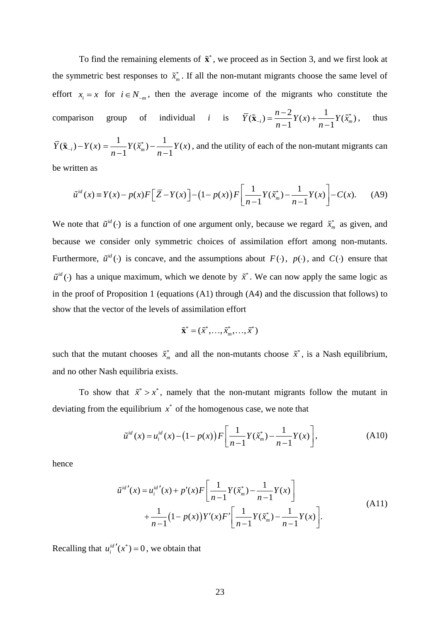To find the remaining elements of  $\tilde{\mathbf{x}}^*$ , we proceed as in Section 3, and we first look at the symmetric best responses to  $\tilde{x}_m^*$ . If all the non-mutant migrants choose the same level of effort  $x_i = x$  for  $i \in N_{-m}$ , then the average income of the migrants who constitute the comparison group of individual *i* is  $\overline{Y}(\tilde{\mathbf{x}}_{-i}) = \frac{n-2}{n} Y(x) + \frac{1}{n} Y(\tilde{x}_{-i}^*)$  $(\tilde{\mathbf{x}}_{-i}) = \frac{n-2}{n-1} Y(x) + \frac{1}{n-1} Y(x)$ )  $\overline{Y}(\tilde{\mathbf{x}}_{-i}) = \frac{n-2}{n-1}Y(x) + \frac{1}{n-1}Y(\tilde{x}_{m}^{*})$  $\frac{n-2}{n-1}Y(x) + \frac{n}{n}$  $\overline{a}$  $=\frac{n-2}{n-1}Y(x)+\frac{1}{n-1}$  $\tilde{\mathbf{x}}_{-i}$ ) =  $\frac{n-2}{n-1}Y(x)$  +  $\frac{1}{n-1}Y(\tilde{x}_m^*)$ , thus  $\overline{Y}(\tilde{\mathbf{x}}_{-i}) - Y(x) = \frac{1}{\cdot} Y(\tilde{x}_{m}^{*}) - \frac{1}{\cdot}$  $\frac{-Y(\tilde{x}_m)}{1} - \frac{n-1}{n-1}$  $Y(\tilde{x}_m^*) - \frac{1}{\cdot} Y(x)$  $=\frac{1}{n-1}Y(\tilde{x}_m^*) - \frac{1}{n-1}Y(x)$ , and the utility of each of the non-mutant migrants can

be written as

$$
n-1 \t n-1
$$
  
itten as  

$$
\tilde{u}^{id}(x) = Y(x) - p(x)F\left[\bar{Z} - Y(x)\right] - (1 - p(x))F\left[\frac{1}{n-1}Y(\tilde{x}_m^*) - \frac{1}{n-1}Y(x)\right] - C(x).
$$
 (A9)

We note that  $\tilde{u}^{id}(\cdot)$  is a function of one argument only, because we regard  $\tilde{x}_m^*$  as given, and because we consider only symmetric choices of assimilation effort among non-mutants. Furthermore,  $\tilde{u}^{id}(\cdot)$  is concave, and the assumptions about  $F(\cdot)$ ,  $p(\cdot)$ , and  $C(\cdot)$  ensure that  $\tilde{u}^{id}(\cdot)$  has a unique maximum, which we denote by  $\tilde{x}^*$ . We can now apply the same logic as in the proof of Proposition 1 (equations (A1) through (A4) and the discussion that follows) to show that the vector of the levels of assimilation effort

$$
\tilde{\mathbf{x}}^* = (\tilde{x}^*, \ldots, \tilde{x}_m^*, \ldots, \tilde{x}^*)
$$

such that the mutant chooses  $\tilde{x}_m^*$  and all the non-mutants choose  $\tilde{x}^*$ , is a Nash equilibrium, and no other Nash equilibria exists.

To show that  $\tilde{x}$   $> x$ <sup>\*</sup>, namely that the non-mutant migrants follow the mutant in

deviating from the equilibrium 
$$
x^*
$$
 of the homogeneous case, we note that  
\n
$$
\tilde{u}^{id}(x) = u_i^{id}(x) - (1 - p(x))F\left[\frac{1}{n-1}Y(\tilde{x}_m^*) - \frac{1}{n-1}Y(x)\right],
$$
\n(A10)

hence

$$
\tilde{u}^{id'}(x) = u_i^{id'}(x) + p'(x)F\left[\frac{1}{n-1}Y(\tilde{x}_m^*) - \frac{1}{n-1}Y(x)\right] \n+ \frac{1}{n-1}(1-p(x))Y'(x)F'\left[\frac{1}{n-1}Y(\tilde{x}_m^*) - \frac{1}{n-1}Y(x)\right].
$$
\n(A11)

Recalling that  $u_i^{id'}(x^*) = 0$ , we obtain that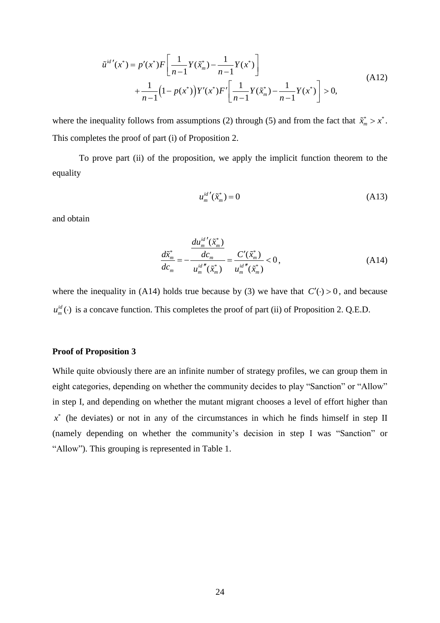$$
\tilde{u}^{id'}(x^*) = p'(x^*)F\left[\frac{1}{n-1}Y(\tilde{x}_m^*) - \frac{1}{n-1}Y(x^*)\right] + \frac{1}{n-1}\left(1 - p(x^*)\right)Y'(x^*)F'\left[\frac{1}{n-1}Y(\tilde{x}_m^*) - \frac{1}{n-1}Y(x^*)\right] > 0,
$$
\n(A12)

where the inequality follows from assumptions (2) through (5) and from the fact that  $\tilde{x}_m^* > x^*$ . This completes the proof of part (i) of Proposition 2.

To prove part (ii) of the proposition, we apply the implicit function theorem to the equality

$$
u_m^{id'}(\tilde{x}_m^*) = 0 \tag{A13}
$$

and obtain

$$
\frac{d\tilde{x}_{m}^{*}}{dc_{m}} = -\frac{\frac{du_{m}^{id'}(\tilde{x}_{m}^{*})}{u_{m}^{id''}(\tilde{x}_{m}^{*})}}{\frac{u_{m}^{id''}(\tilde{x}_{m}^{*})}{u_{m}^{id''}(\tilde{x}_{m}^{*})}} = \frac{C'(\tilde{x}_{m}^{*})}{u_{m}^{id''}(\tilde{x}_{m}^{*})} < 0,
$$
\n(A14)

where the inequality in (A14) holds true because by (3) we have that  $C'(\cdot) > 0$ , and because  $u_m^{id}(\cdot)$  is a concave function. This completes the proof of part (ii) of Proposition 2. Q.E.D.

#### **Proof of Proposition 3**

While quite obviously there are an infinite number of strategy profiles, we can group them in eight categories, depending on whether the community decides to play "Sanction" or "Allow" in step I, and depending on whether the mutant migrant chooses a level of effort higher than  $x^*$  (he deviates) or not in any of the circumstances in which he finds himself in step II (namely depending on whether the community's decision in step I was "Sanction" or "Allow"). This grouping is represented in Table 1.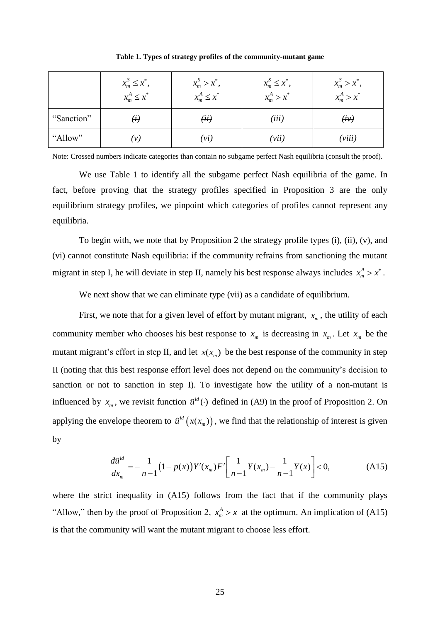|            | $x_m^S \leq x^*$ ,<br>$x_m^A \leq x^*$ | $x_m^S > x^*$ ,<br>$x_m^A \leq x^*$ | $x_m^S \leq x^*$ ,<br>$x_m^A > x^*$ | $x_m^S > x^*$ ,<br>$x_m^A > x^*$ |
|------------|----------------------------------------|-------------------------------------|-------------------------------------|----------------------------------|
| "Sanction" | $\left( i\right)$                      | (ii)                                | (iii)                               | (iv)                             |
| "Allow"    | $(\nu)$                                | $(v_i)$                             | (vii)                               | (viii)                           |

**Table 1. Types of strategy profiles of the community-mutant game**

Note: Crossed numbers indicate categories than contain no subgame perfect Nash equilibria (consult the proof).

We use Table 1 to identify all the subgame perfect Nash equilibria of the game. In fact, before proving that the strategy profiles specified in Proposition 3 are the only equilibrium strategy profiles, we pinpoint which categories of profiles cannot represent any equilibria.

To begin with, we note that by Proposition 2 the strategy profile types (i), (ii), (v), and (vi) cannot constitute Nash equilibria: if the community refrains from sanctioning the mutant migrant in step I, he will deviate in step II, namely his best response always includes  $x_m^A > x^*$ .

We next show that we can eliminate type (vii) as a candidate of equilibrium.

First, we note that for a given level of effort by mutant migrant,  $x_m$ , the utility of each community member who chooses his best response to  $x_m$  is decreasing in  $x_m$ . Let  $x_m$  be the mutant migrant's effort in step II, and let  $x(x_m)$  be the best response of the community in step II (noting that this best response effort level does not depend on the community's decision to sanction or not to sanction in step I). To investigate how the utility of a non-mutant is influenced by  $x_m$ , we revisit function  $\tilde{u}^{id}(\cdot)$  defined in (A9) in the proof of Proposition 2. On applying the envelope theorem to  $\tilde{u}^{id}(x(x_m))$  $\tilde{u}^{id}(x(x_m))$ , we find that the relationship of interest is given by

$$
\frac{d\tilde{u}^{id}}{dx_m} = -\frac{1}{n-1} (1 - p(x)) Y'(x_m) F'\left[\frac{1}{n-1} Y(x_m) - \frac{1}{n-1} Y(x)\right] < 0,
$$
\n(A15)

where the strict inequality in  $(A15)$  follows from the fact that if the community plays "Allow," then by the proof of Proposition 2,  $x_m^A$  $x_m^A > x$  at the optimum. An implication of (A15) is that the community will want the mutant migrant to choose less effort.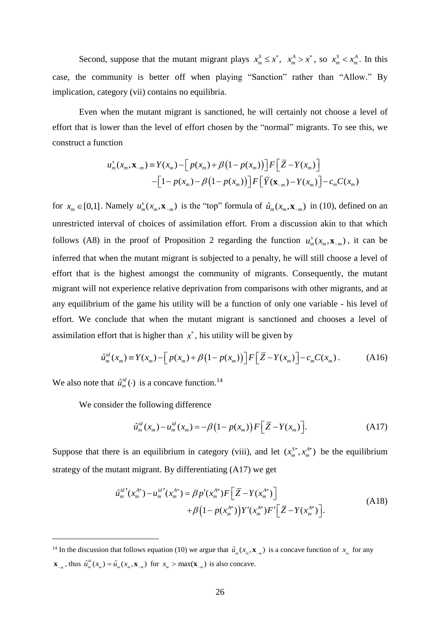Second, suppose that the mutant migrant plays  $x_m^S \le x^*$ ,  $x_m^S \le x^*$ ,  $x_m^A > x^*$ , so  $x_m^S < x_m^A$  $x_m^S < x_m^A$ . In this case, the community is better off when playing "Sanction" rather than "Allow." By implication, category (vii) contains no equilibria.

Even when the mutant migrant is sanctioned, he will certainly not choose a level of effort that is lower than the level of effort chosen by the "normal" migrants. To see this, we construct a function

ction  
\n
$$
u_m^s(x_m, \mathbf{x}_{-m}) \equiv Y(x_m) - \Big[ p(x_m) + \beta (1 - p(x_m)) \Big] F \Big[ \overline{Z} - Y(x_m) \Big] - \Big[ 1 - p(x_m) - \beta (1 - p(x_m)) \Big] F \Big[ \overline{Y}(\mathbf{x}_{-m}) - Y(x_m) \Big] - c_m C(x_m)
$$

for  $x_m \in [0,1]$ . Namely  $u_m^s(x_m, \mathbf{x}_{-m})$  is the "top" formula of  $\hat{u}_m(x_m, \mathbf{x}_{-m})$  in (10), defined on an unrestricted interval of choices of assimilation effort. From a discussion akin to that which follows (A8) in the proof of Proposition 2 regarding the function  $u_m^s(x_m, \mathbf{x}_{-m})$ , it can be inferred that when the mutant migrant is subjected to a penalty, he will still choose a level of effort that is the highest amongst the community of migrants. Consequently, the mutant migrant will not experience relative deprivation from comparisons with other migrants, and at any equilibrium of the game his utility will be a function of only one variable - his level of effort. We conclude that when the mutant migrant is sanctioned and chooses a level of

\n assimilation effort that is higher than 
$$
x^*
$$
, his utility will be given by\n  $\hat{u}_m^{id}(x_m) \equiv Y(x_m) - \left[ p(x_m) + \beta \left( 1 - p(x_m) \right) \right] F \left[ \overline{Z} - Y(x_m) \right] - c_m C(x_m).$ \n

\n\n (A16)\n

We also note that  $\hat{u}_m^{id}(\cdot)$  is a concave function.<sup>14</sup>

 $\overline{a}$ 

We consider the following difference

e nonowing difference  

$$
\hat{u}_m^{id}(x_m) - u_m^{id}(x_m) = -\beta (1 - p(x_m)) F\left[\overline{Z} - Y(x_m)\right].
$$
 (A17)

Suppose that there is an equilibrium in category (viii), and let  $(x_m^{S*}, x_m^{A*})$  be the equilibrium

strategy of the mutant migration. By differentiating (A17) we get  
\n
$$
\hat{u}_m^{id'}(x_m^{A*}) - u_m^{id'}(x_m^{A*}) = \beta p'(x_m^{A*}) F\left[\overline{Z} - Y(x_m^{A*})\right]
$$
\n
$$
+ \beta \left(1 - p(x_m^{A*})\right) Y'(x_m^{A*}) F'\left[\overline{Z} - Y(x_m^{A*})\right].
$$
\n(A18)

<sup>&</sup>lt;sup>14</sup> In the discussion that follows equation (10) we argue that  $\hat{u}_m(x_m, \mathbf{x}_{-m})$  is a concave function of  $x_m$  for any  $\mathbf{x}_{-m}$ , thus  $\hat{u}_m^{\text{id}}(x_m) = \hat{u}_m(x_m, \mathbf{x}_{-m})$  for  $x_m > \max(\mathbf{x}_{-m})$  is also concave.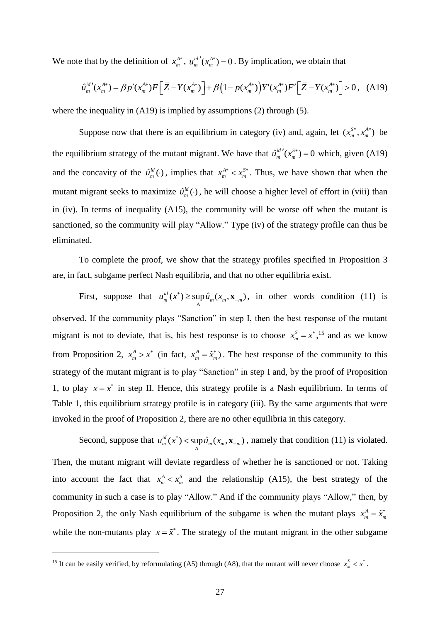We note that by the definition of  $x_m^{A*}$ ,  $u_m^{id'}(x_m^{A*}) = 0$  $u_m^{id'}(x_m^{A*}) = 0$ . By implication, we obtain that

that by the definition of 
$$
x_m^{A*}
$$
,  $u_m^{id'}(x_m^{A*}) = 0$ . By implication, we obtain that  
\n
$$
\hat{u}_m^{id'}(x_m^{A*}) = \beta p'(x_m^{A*}) F\left[\bar{Z} - Y(x_m^{A*})\right] + \beta \left(1 - p(x_m^{A*})\right) Y'(x_m^{A*}) F'\left[\bar{Z} - Y(x_m^{A*})\right] > 0, \quad (A19)
$$

where the inequality in (A19) is implied by assumptions (2) through (5).

Suppose now that there is an equilibrium in category (iv) and, again, let  $(x_m^{S*}, x_m^{A*})$  be the equilibrium strategy of the mutant migrant. We have that  $\hat{u}_m^{id'}(x_m^{S*}) = 0$  $\hat{u}^{id'}_{m}(x_{m}^{S*}) = 0$  which, given (A19) and the concavity of the  $\hat{u}_m^{id}(\cdot)$ , implies that  $x_m^{A^*} < x_m^{S^*}$ . Thus, we have shown that when the mutant migrant seeks to maximize  $\hat{u}_m^{\text{id}}(\cdot)$ , he will choose a higher level of effort in (viii) than in (iv). In terms of inequality (A15), the community will be worse off when the mutant is sanctioned, so the community will play "Allow." Type (iv) of the strategy profile can thus be eliminated.

To complete the proof, we show that the strategy profiles specified in Proposition 3 are, in fact, subgame perfect Nash equilibria, and that no other equilibria exist.

First, suppose that A  $(x^*) \ge \sup \hat{u}_m(x_m, \mathbf{x}_{-m})$ *i m*  $u_m^{id}(x^*) \ge \sup \hat{u}_m(x_m, \mathbf{x}_{-m})$ , in other words condition (11) is observed. If the community plays "Sanction" in step I, then the best response of the mutant migrant is not to deviate, that is, his best response is to choose  $x_m^S = x^*$ , <sup>15</sup> and as we know from Proposition 2,  $x_m^A > x^*$  (in fact,  $x_m^A = \tilde{x}_m^*$ )  $x_m^A = \tilde{x}_m^*$ ). The best response of the community to this strategy of the mutant migrant is to play "Sanction" in step I and, by the proof of Proposition 1, to play  $x = x^*$  in step II. Hence, this strategy profile is a Nash equilibrium. In terms of Table 1, this equilibrium strategy profile is in category (iii). By the same arguments that were invoked in the proof of Proposition 2, there are no other equilibria in this category.

Second, suppose that  $u_m^{id}(x^*)$  $u_m^{id}(x^*)$  < sup  $\hat{u}_m(x_m, \mathbf{x}_{-m})$ , namely that condition (11) is violated.

Then, the mutant migrant will deviate regardless of whether he is sanctioned or not. Taking into account the fact that  $x_m^A < x_m^S$  $x_m^A < x_m^S$  and the relationship (A15), the best strategy of the community in such a case is to play "Allow." And if the community plays "Allow," then, by Proposition 2, the only Nash equilibrium of the subgame is when the mutant plays  $x_m^A = \tilde{x}_m^*$ while the non-mutants play  $x = \tilde{x}^*$ . The strategy of the mutant migrant in the other subgame

 $\overline{a}$ 

<sup>&</sup>lt;sup>15</sup> It can be easily verified, by reformulating (A5) through (A8), that the mutant will never choose  $x_m^s < x^*$ .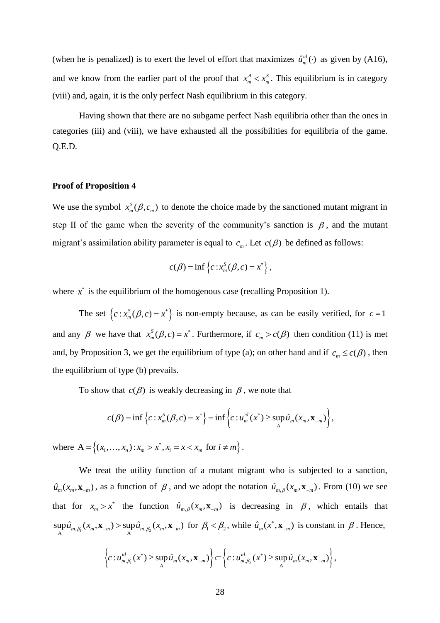(when he is penalized) is to exert the level of effort that maximizes  $\hat{u}_m^{id}(\cdot)$  as given by (A16), and we know from the earlier part of the proof that  $x_m^A < x_m^S$  $x_m^A < x_m^S$ . This equilibrium is in category (viii) and, again, it is the only perfect Nash equilibrium in this category.

Having shown that there are no subgame perfect Nash equilibria other than the ones in categories (iii) and (viii), we have exhausted all the possibilities for equilibria of the game. Q.E.D.

#### **Proof of Proposition 4**

We use the symbol  $x_m^S(\beta,c_m)$  $x_m^S(\beta,c_m)$  to denote the choice made by the sanctioned mutant migrant in step II of the game when the severity of the community's sanction is  $\beta$ , and the mutant migrant's assimilation ability parameter is equal to  $c_m$ . Let  $c(\beta)$  be defined as follows:

$$
c(\beta) = \inf \left\{ c : x_m^S(\beta, c) = x^* \right\},\
$$

where  $x^*$  is the equilibrium of the homogenous case (recalling Proposition 1).

The set  $\{c: x_m^S(\beta, c) = x^*\}$  $c: x_m^S(\beta, c) = x^*$  is non-empty because, as can be easily verified, for  $c = 1$ and any  $\beta$  we have that  $x_m^S(\beta, c) = x^*$  $x_m^S(\beta, c) = x^*$ . Furthermore, if  $c_m > c(\beta)$  then condition (11) is met and, by Proposition 3, we get the equilibrium of type (a); on other hand and if  $c_m \leq c(\beta)$ , then the equilibrium of type (b) prevails.

To show that 
$$
c(\beta)
$$
 is weakly decreasing in  $\beta$ , we note that  
\n
$$
c(\beta) = \inf \left\{ c : x_m^S(\beta, c) = x^* \right\} = \inf \left\{ c : u_m^{id}(x^*) \ge \sup_A \hat{u}_m(x_m, \mathbf{x}_{-m}) \right\},
$$

where  $A = \{(x_1, ..., x_n) : x_m > x^*, x_i = x < x_m \text{ for } i \neq m\}$ .

We treat the utility function of a mutant migrant who is subjected to a sanction,  $\hat{u}_m(x_m, \mathbf{x}_{-m})$ , as a function of  $\beta$ , and we adopt the notation  $\hat{u}_{m,\beta}(x_m, \mathbf{x}_{-m})$ . From (10) we see that for  $x_m > x^*$  the function  $\hat{u}_{m,\beta}(x_m, \mathbf{x}_{-m})$  is decreasing in  $\beta$ , which entails that  $\lim_{m \to \infty} \hat{u}_{m,\beta_1}(x_m, \mathbf{x}_{-m}) > \sup_{A} \hat{u}_{m,\beta_2}(x_m, \mathbf{x}_{-m})$  for  $\beta_1 < \beta_2$ , while  $\hat{u}_m(x^*, \mathbf{x}_{-m})$  is constant in  $\beta$ . Hence,

$$
\left\{c: u_{m,\beta_1}^{id}(x^*) \ge \sup_{A} \hat{u}_m(x_m, \mathbf{x}_{-m})\right\} \subset \left\{c: u_{m,\beta_2}^{id}(x^*) \ge \sup_{A} \hat{u}_m(x_m, \mathbf{x}_{-m})\right\},\
$$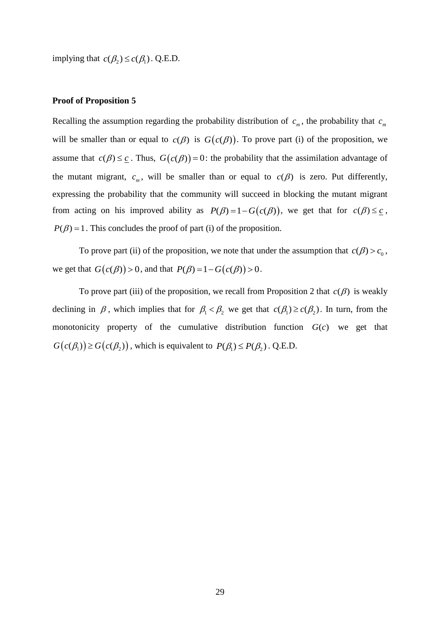implying that  $c(\beta_2) \leq c(\beta_1)$ . Q.E.D.

#### **Proof of Proposition 5**

Recalling the assumption regarding the probability distribution of  $c_m$ , the probability that  $c_m$ will be smaller than or equal to  $c(\beta)$  is  $G(c(\beta))$ . To prove part (i) of the proposition, we assume that  $c(\beta) \leq \underline{c}$ . Thus,  $G(c(\beta)) = 0$ : the probability that the assimilation advantage of the mutant migrant,  $c_m$ , will be smaller than or equal to  $c(\beta)$  is zero. Put differently, expressing the probability that the community will succeed in blocking the mutant migrant from acting on his improved ability as  $P(\beta) = 1 - G(c(\beta))$ , we get that for  $c(\beta) \leq c$ ,  $P(\beta) = 1$ . This concludes the proof of part (i) of the proposition.

To prove part (ii) of the proposition, we note that under the assumption that  $c(\beta) > c_0$ , we get that  $G(c(\beta)) > 0$ , and that  $P(\beta) = 1 - G(c(\beta)) > 0$ .

To prove part (iii) of the proposition, we recall from Proposition 2 that  $c(\beta)$  is weakly declining in  $\beta$ , which implies that for  $\beta_1 < \beta_2$  we get that  $c(\beta_1) \geq c(\beta_2)$ . In turn, from the monotonicity property of the cumulative distribution function  $G(c)$  we get that  $G(c(\beta_1)) \ge G(c(\beta_2))$ , which is equivalent to  $P(\beta_1) \le P(\beta_2)$ . Q.E.D.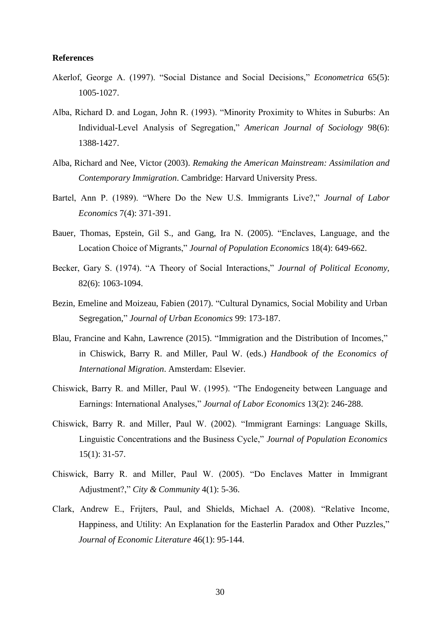### **References**

- Akerlof, George A. (1997). "Social Distance and Social Decisions," *Econometrica* 65(5): 1005-1027.
- Alba, Richard D. and Logan, John R. (1993). "Minority Proximity to Whites in Suburbs: An Individual-Level Analysis of Segregation," *American Journal of Sociology* 98(6): 1388-1427.
- Alba, Richard and Nee, Victor (2003). *Remaking the American Mainstream: Assimilation and Contemporary Immigration*. Cambridge: Harvard University Press.
- Bartel, Ann P. (1989). "Where Do the New U.S. Immigrants Live?," *Journal of Labor Economics* 7(4): 371-391.
- Bauer, Thomas, Epstein, Gil S., and Gang, Ira N. (2005). "Enclaves, Language, and the Location Choice of Migrants," *Journal of Population Economics* 18(4): 649-662.
- Becker, Gary S. (1974). "A Theory of Social Interactions," *Journal of Political Economy,* 82(6): 1063-1094.
- Bezin, Emeline and Moizeau, Fabien (2017). "Cultural Dynamics, Social Mobility and Urban Segregation," *Journal of Urban Economics* 99: 173-187.
- Blau, Francine and Kahn, Lawrence (2015). "Immigration and the Distribution of Incomes," in Chiswick, Barry R. and Miller, Paul W. (eds.) *Handbook of the Economics of International Migration*. Amsterdam: Elsevier.
- Chiswick, Barry R. and Miller, Paul W. (1995). "The Endogeneity between Language and Earnings: International Analyses," *Journal of Labor Economics* 13(2): 246-288.
- Chiswick, Barry R. and Miller, Paul W. (2002). "Immigrant Earnings: Language Skills, Linguistic Concentrations and the Business Cycle," *Journal of Population Economics*  15(1): 31-57.
- Chiswick, Barry R. and Miller, Paul W. (2005). "Do Enclaves Matter in Immigrant Adjustment?," *City & Community* 4(1): 5-36.
- Clark, Andrew E., Frijters, Paul, and Shields, Michael A. (2008). "Relative Income, Happiness, and Utility: An Explanation for the Easterlin Paradox and Other Puzzles," *Journal of Economic Literature* 46(1): 95-144.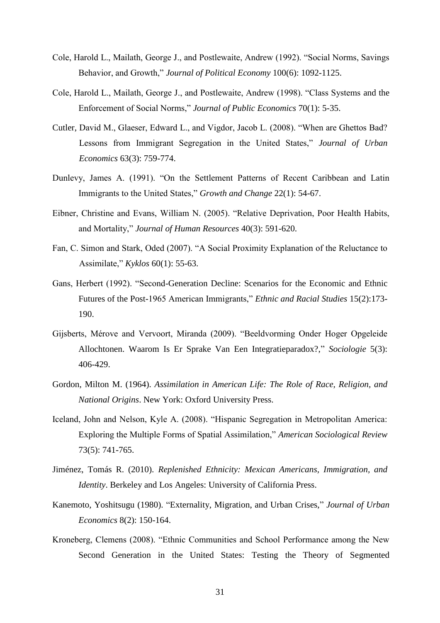- Cole, Harold L., Mailath, George J., and Postlewaite, Andrew (1992). "Social Norms, Savings Behavior, and Growth," *Journal of Political Economy* 100(6): 1092-1125.
- Cole, Harold L., Mailath, George J., and Postlewaite, Andrew (1998). "Class Systems and the Enforcement of Social Norms," *Journal of Public Economics* 70(1): 5-35.
- Cutler, David M., Glaeser, Edward L., and Vigdor, Jacob L. (2008). "When are Ghettos Bad? Lessons from Immigrant Segregation in the United States," *Journal of Urban Economics* 63(3): 759-774.
- Dunlevy, James A. (1991). "On the Settlement Patterns of Recent Caribbean and Latin Immigrants to the United States," *Growth and Change* 22(1): 54-67.
- Eibner, Christine and Evans, William N. (2005). "Relative Deprivation, Poor Health Habits, and Mortality," *Journal of Human Resources* 40(3): 591-620.
- Fan, C. Simon and Stark, Oded (2007). "A Social Proximity Explanation of the Reluctance to Assimilate," *Kyklos* 60(1): 55-63.
- Gans, Herbert (1992). "Second-Generation Decline: Scenarios for the Economic and Ethnic Futures of the Post-1965 American Immigrants," *Ethnic and Racial Studies* 15(2):173- 190.
- Gijsberts, Mérove and Vervoort, Miranda (2009). "Beeldvorming Onder Hoger Opgeleide Allochtonen. Waarom Is Er Sprake Van Een Integratieparadox?," *Sociologie* 5(3): 406-429.
- Gordon, Milton M. (1964). *Assimilation in American Life: The Role of Race, Religion, and National Origins*. New York: Oxford University Press.
- Iceland, John and Nelson, Kyle A. (2008). "Hispanic Segregation in Metropolitan America: Exploring the Multiple Forms of Spatial Assimilation," *American Sociological Review* 73(5): 741-765.
- Jiménez, Tomás R. (2010). *Replenished Ethnicity: Mexican Americans, Immigration, and Identity*. Berkeley and Los Angeles: University of California Press.
- Kanemoto, Yoshitsugu (1980). "Externality, Migration, and Urban Crises," *Journal of Urban Economics* 8(2): 150-164.
- Kroneberg, Clemens (2008). "Ethnic Communities and School Performance among the New Second Generation in the United States: Testing the Theory of Segmented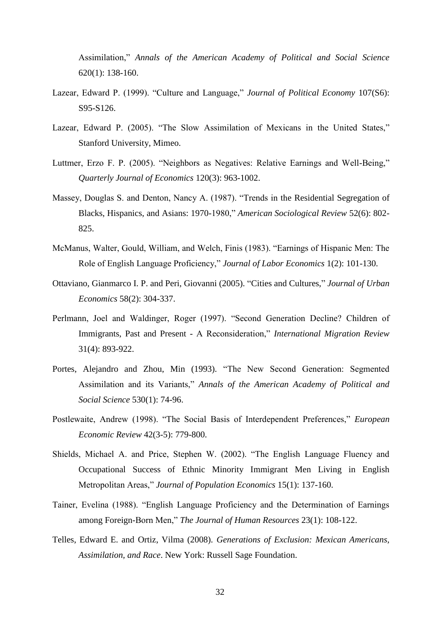Assimilation," *Annals of the American Academy of Political and Social Science* 620(1): 138-160.

- Lazear, Edward P. (1999). "Culture and Language," *Journal of Political Economy* 107(S6): S95-S126.
- Lazear, Edward P. (2005). "The Slow Assimilation of Mexicans in the United States," Stanford University, Mimeo.
- Luttmer, Erzo F. P. (2005). "Neighbors as Negatives: Relative Earnings and Well-Being," *Quarterly Journal of Economics* 120(3): 963-1002.
- Massey, Douglas S. and Denton, Nancy A. (1987). "Trends in the Residential Segregation of Blacks, Hispanics, and Asians: 1970-1980," *American Sociological Review* 52(6): 802- 825.
- McManus, Walter, Gould, William, and Welch, Finis (1983). "Earnings of Hispanic Men: The Role of English Language Proficiency," *Journal of Labor Economics* 1(2): 101-130.
- Ottaviano, Gianmarco I. P. and Peri, Giovanni (2005). "Cities and Cultures," *Journal of Urban Economics* 58(2): 304-337.
- Perlmann, Joel and Waldinger, Roger (1997). "Second Generation Decline? Children of Immigrants, Past and Present - A Reconsideration," *International Migration Review* 31(4): 893-922.
- Portes, Alejandro and Zhou, Min (1993). "The New Second Generation: Segmented Assimilation and its Variants," *Annals of the American Academy of Political and Social Science* 530(1): 74-96.
- Postlewaite, Andrew (1998). "The Social Basis of Interdependent Preferences," *European Economic Review* 42(3-5): 779-800.
- Shields, Michael A. and Price, Stephen W. (2002). "The English Language Fluency and Occupational Success of Ethnic Minority Immigrant Men Living in English Metropolitan Areas," *Journal of Population Economics* 15(1): 137-160.
- Tainer, Evelina (1988). "English Language Proficiency and the Determination of Earnings among Foreign-Born Men," *The Journal of Human Resources* 23(1): 108-122.
- Telles, Edward E. and Ortiz, Vilma (2008). *Generations of Exclusion: Mexican Americans, Assimilation, and Race*. New York: Russell Sage Foundation.